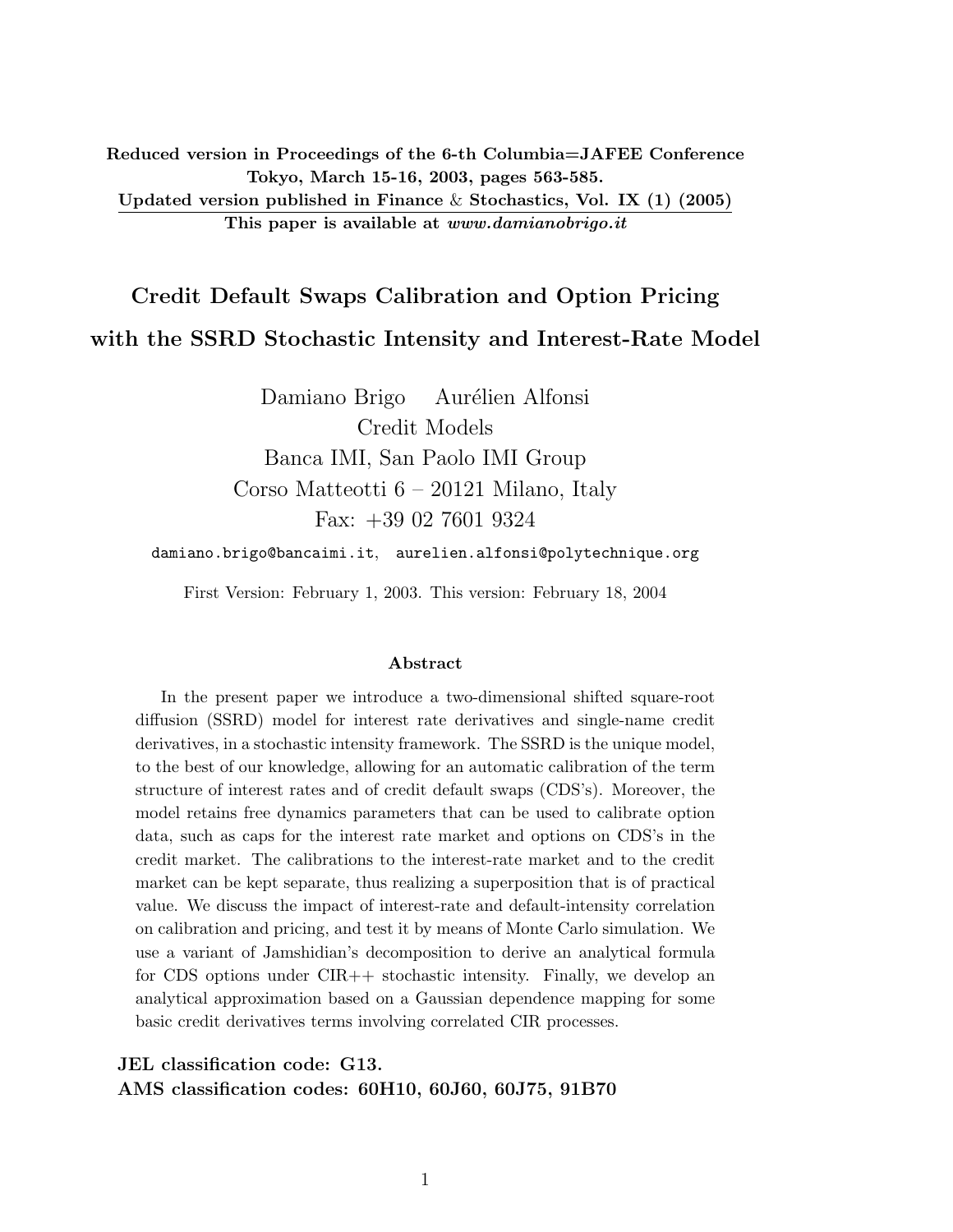Reduced version in Proceedings of the 6-th Columbia=JAFEE Conference Tokyo, March 15-16, 2003, pages 563-585. Updated version published in Finance & Stochastics, Vol. IX  $(1)$  (2005) This paper is available at www.damianobrigo.it

# Credit Default Swaps Calibration and Option Pricing with the SSRD Stochastic Intensity and Interest-Rate Model

Damiano Brigo Aurélien Alfonsi Credit Models Banca IMI, San Paolo IMI Group Corso Matteotti 6 – 20121 Milano, Italy Fax: +39 02 7601 9324

damiano.brigo@bancaimi.it, aurelien.alfonsi@polytechnique.org

First Version: February 1, 2003. This version: February 18, 2004

#### Abstract

In the present paper we introduce a two-dimensional shifted square-root diffusion (SSRD) model for interest rate derivatives and single-name credit derivatives, in a stochastic intensity framework. The SSRD is the unique model, to the best of our knowledge, allowing for an automatic calibration of the term structure of interest rates and of credit default swaps (CDS's). Moreover, the model retains free dynamics parameters that can be used to calibrate option data, such as caps for the interest rate market and options on CDS's in the credit market. The calibrations to the interest-rate market and to the credit market can be kept separate, thus realizing a superposition that is of practical value. We discuss the impact of interest-rate and default-intensity correlation on calibration and pricing, and test it by means of Monte Carlo simulation. We use a variant of Jamshidian's decomposition to derive an analytical formula for CDS options under CIR++ stochastic intensity. Finally, we develop an analytical approximation based on a Gaussian dependence mapping for some basic credit derivatives terms involving correlated CIR processes.

JEL classification code: G13. AMS classification codes: 60H10, 60J60, 60J75, 91B70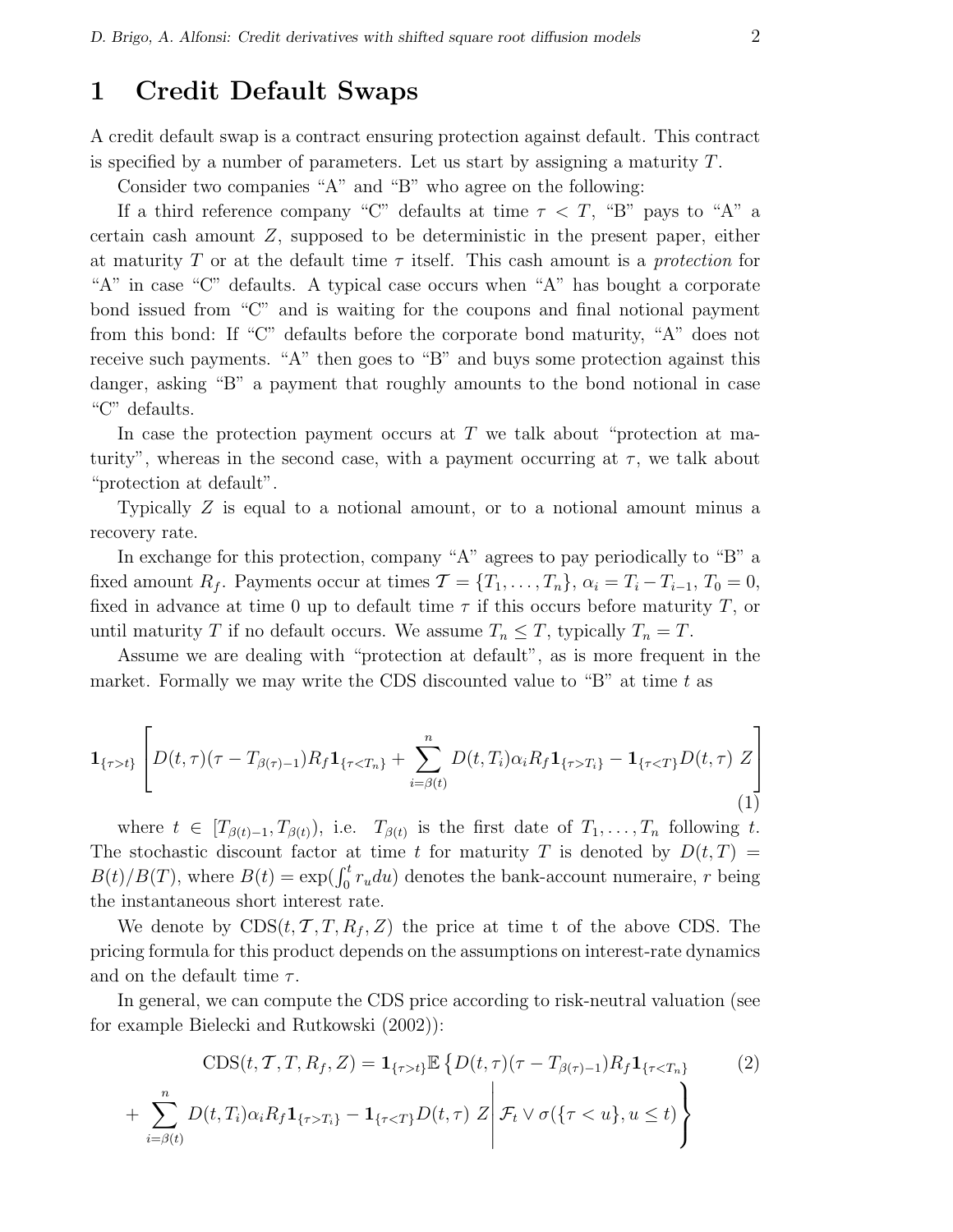### 1 Credit Default Swaps

A credit default swap is a contract ensuring protection against default. This contract is specified by a number of parameters. Let us start by assigning a maturity T.

Consider two companies "A" and "B" who agree on the following:

If a third reference company "C" defaults at time  $\tau < T$ , "B" pays to "A" a certain cash amount  $Z$ , supposed to be deterministic in the present paper, either at maturity T or at the default time  $\tau$  itself. This cash amount is a protection for "A" in case "C" defaults. A typical case occurs when "A" has bought a corporate bond issued from "C" and is waiting for the coupons and final notional payment from this bond: If "C" defaults before the corporate bond maturity, "A" does not receive such payments. "A" then goes to "B" and buys some protection against this danger, asking "B" a payment that roughly amounts to the bond notional in case "C" defaults.

In case the protection payment occurs at  $T$  we talk about "protection at maturity", whereas in the second case, with a payment occurring at  $\tau$ , we talk about "protection at default".

Typically Z is equal to a notional amount, or to a notional amount minus a recovery rate.

In exchange for this protection, company "A" agrees to pay periodically to "B" a fixed amount  $R_f$ . Payments occur at times  $\mathcal{T} = \{T_1, \ldots, T_n\}, \alpha_i = T_i - T_{i-1}, T_0 = 0,$ fixed in advance at time 0 up to default time  $\tau$  if this occurs before maturity T, or until maturity T if no default occurs. We assume  $T_n \leq T$ , typically  $T_n = T$ .

Assume we are dealing with "protection at default", as is more frequent in the market. Formally we may write the CDS discounted value to "B" at time  $t$  as

$$
\mathbf{1}_{\{\tau > t\}} \left[ D(t, \tau)(\tau - T_{\beta(\tau)-1}) R_f \mathbf{1}_{\{\tau < T_n\}} + \sum_{i=\beta(t)}^n D(t, T_i) \alpha_i R_f \mathbf{1}_{\{\tau > T_i\}} - \mathbf{1}_{\{\tau < T\}} D(t, \tau) Z \right]
$$
\n(1)

where  $t \in [T_{\beta(t)-1}, T_{\beta(t)})$ , i.e.  $T_{\beta(t)}$  is the first date of  $T_1, \ldots, T_n$  following t. The stochastic discount factor at time t for maturity T is denoted by  $D(t,T)$ The stochastic discount ractor at time t for maturity T is denoted by  $D(t, T)$  =  $B(t)/B(T)$ , where  $B(t) = \exp(\int_0^t r_u du)$  denotes the bank-account numeraire, r being the instantaneous short interest rate.

We denote by  $CDS(t, \mathcal{T}, T, R_f, Z)$  the price at time t of the above CDS. The pricing formula for this product depends on the assumptions on interest-rate dynamics and on the default time  $\tau$ .

In general, we can compute the CDS price according to risk-neutral valuation (see for example Bielecki and Rutkowski (2002)):

$$
\text{CDS}(t, \mathcal{T}, T, R_f, Z) = \mathbf{1}_{\{\tau > t\}} \mathbb{E} \left\{ D(t, \tau) (\tau - T_{\beta(\tau)-1}) R_f \mathbf{1}_{\{\tau < T_n\}} \right\}
$$
(2)  
+ 
$$
\sum_{i=\beta(t)}^n D(t, T_i) \alpha_i R_f \mathbf{1}_{\{\tau > T_i\}} - \mathbf{1}_{\{\tau < T\}} D(t, \tau) Z \middle| \mathcal{F}_t \vee \sigma(\{\tau < u\}, u \le t) \right\}
$$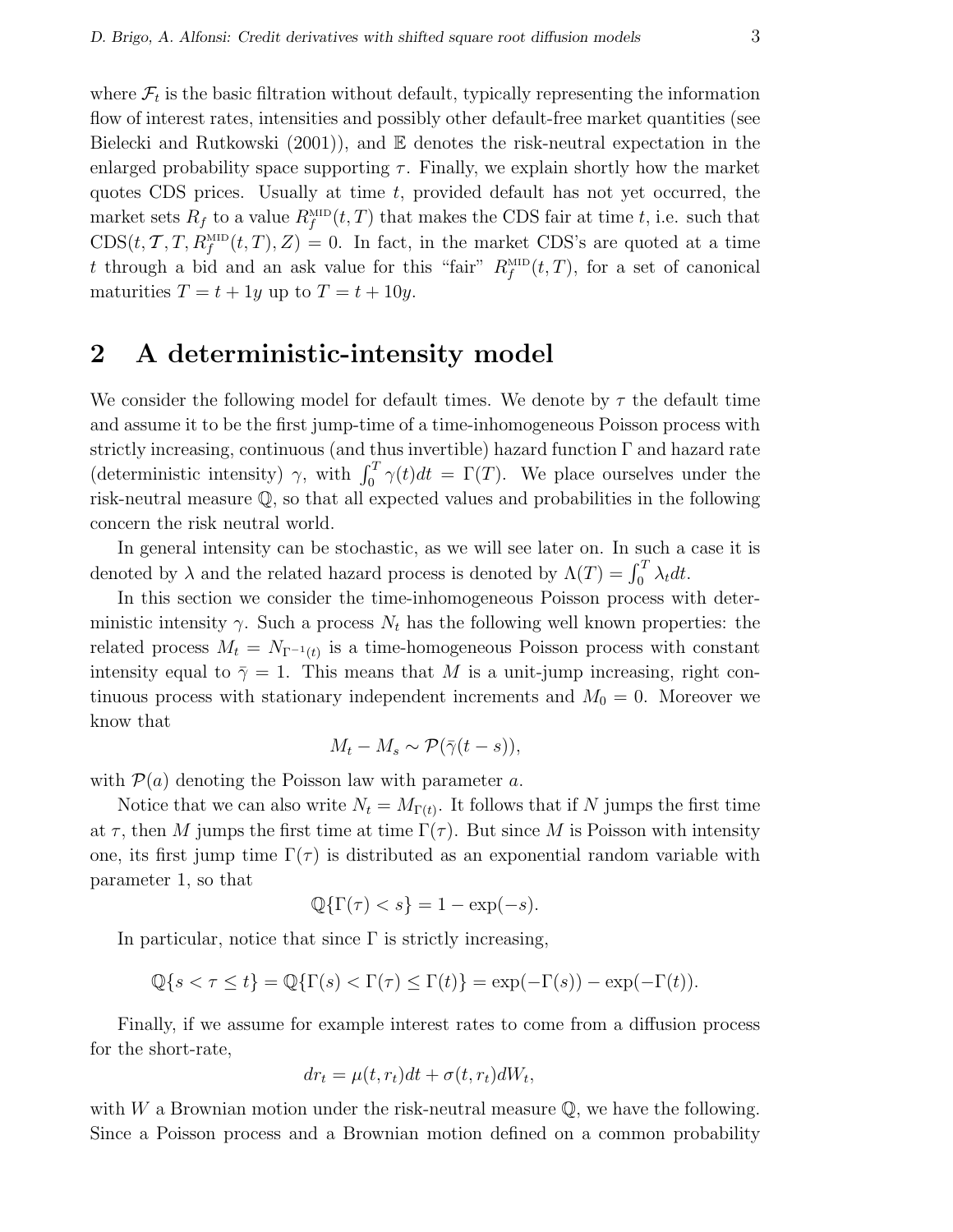where  $\mathcal{F}_t$  is the basic filtration without default, typically representing the information flow of interest rates, intensities and possibly other default-free market quantities (see Bielecki and Rutkowski  $(2001)$ , and  $\mathbb E$  denotes the risk-neutral expectation in the enlarged probability space supporting  $\tau$ . Finally, we explain shortly how the market quotes CDS prices. Usually at time t, provided default has not yet occurred, the market sets  $R_f$  to a value  $R_f^{\text{MD}}(t, T)$  that makes the CDS fair at time t, i.e. such that  $CDS(t, \mathcal{T}, T, R_f^{\text{MID}}(t, T), Z) = 0$ . In fact, in the market CDS's are quoted at a time t through a bid and an ask value for this "fair"  $R_f^{\text{MD}}(t, T)$ , for a set of canonical maturities  $T = t + 1y$  up to  $T = t + 10y$ .

### 2 A deterministic-intensity model

We consider the following model for default times. We denote by  $\tau$  the default time and assume it to be the first jump-time of a time-inhomogeneous Poisson process with strictly increasing, continuous (and thus invertible) hazard function  $\Gamma$  and hazard rate strictly increasing, continuous (and thus invertible) hazard function F and hazard rate (deterministic intensity)  $\gamma$ , with  $\int_0^T \gamma(t) dt = \Gamma(T)$ . We place ourselves under the risk-neutral measure Q, so that all expected values and probabilities in the following concern the risk neutral world.

In general intensity can be stochastic, as we will see later on. In such a case it is In general mensity can be stochastic, as we win see fatter on. In such a denoted by  $\lambda$  and the related hazard process is denoted by  $\Lambda(T) = \int_0^T \lambda_t dt$ .

In this section we consider the time-inhomogeneous Poisson process with deterministic intensity  $\gamma$ . Such a process  $N_t$  has the following well known properties: the related process  $M_t = N_{\Gamma^{-1}(t)}$  is a time-homogeneous Poisson process with constant intensity equal to  $\bar{\gamma}=1$ . This means that M is a unit-jump increasing, right continuous process with stationary independent increments and  $M_0 = 0$ . Moreover we know that

$$
M_t - M_s \sim \mathcal{P}(\bar{\gamma}(t-s)),
$$

with  $P(a)$  denoting the Poisson law with parameter a.

Notice that we can also write  $N_t = M_{\Gamma(t)}$ . It follows that if N jumps the first time at  $\tau$ , then M jumps the first time at time  $\Gamma(\tau)$ . But since M is Poisson with intensity one, its first jump time  $\Gamma(\tau)$  is distributed as an exponential random variable with parameter 1, so that

$$
\mathbb{Q}\{\Gamma(\tau) < s\} = 1 - \exp(-s).
$$

In particular, notice that since  $\Gamma$  is strictly increasing,

$$
\mathbb{Q}\{s < \tau \leq t\} = \mathbb{Q}\{\Gamma(s) < \Gamma(\tau) \leq \Gamma(t)\} = \exp(-\Gamma(s)) - \exp(-\Gamma(t)).
$$

Finally, if we assume for example interest rates to come from a diffusion process for the short-rate,

$$
dr_t = \mu(t, r_t)dt + \sigma(t, r_t)dW_t,
$$

with W a Brownian motion under the risk-neutral measure  $\mathbb{Q}$ , we have the following. Since a Poisson process and a Brownian motion defined on a common probability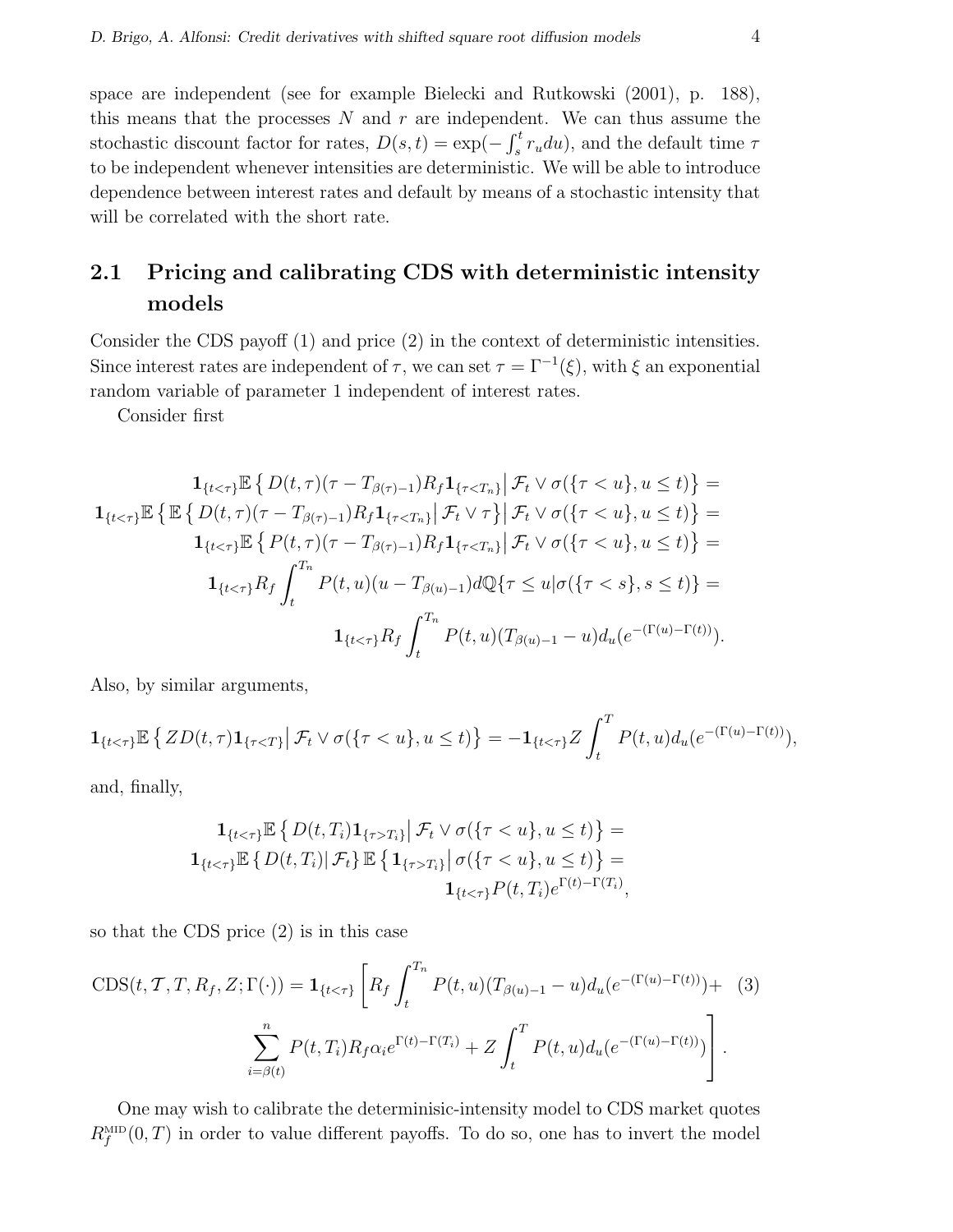space are independent (see for example Bielecki and Rutkowski (2001), p. 188), this means that the processes  $N$  and  $r$  are independent. We can thus assume the stochastic discount factor for rates,  $D(s,t) = \exp(-\int_s^t$  $\int_s^t r_u du$ , and the default time  $\tau$ to be independent whenever intensities are deterministic. We will be able to introduce dependence between interest rates and default by means of a stochastic intensity that will be correlated with the short rate.

## 2.1 Pricing and calibrating CDS with deterministic intensity models

Consider the CDS payoff (1) and price (2) in the context of deterministic intensities. Since interest rates are independent of  $\tau$ , we can set  $\tau = \Gamma^{-1}(\xi)$ , with  $\xi$  an exponential random variable of parameter 1 independent of interest rates.

Consider first

$$
\mathbf{1}_{\{t < \tau\}} \mathbb{E} \left\{ D(t, \tau) (\tau - T_{\beta(\tau)-1}) R_f \mathbf{1}_{\{\tau < T_n\}} \middle| \mathcal{F}_t \vee \sigma(\{\tau < u\}, u \le t) \right\} =
$$
\n
$$
\mathbf{1}_{\{t < \tau\}} \mathbb{E} \left\{ E \left\{ D(t, \tau) (\tau - T_{\beta(\tau)-1}) R_f \mathbf{1}_{\{\tau < T_n\}} \middle| \mathcal{F}_t \vee \tau \right\} \middle| \mathcal{F}_t \vee \sigma(\{\tau < u\}, u \le t) \right\} =
$$
\n
$$
\mathbf{1}_{\{t < \tau\}} \mathbb{E} \left\{ P(t, \tau) (\tau - T_{\beta(\tau)-1}) R_f \mathbf{1}_{\{\tau < T_n\}} \middle| \mathcal{F}_t \vee \sigma(\{\tau < u\}, u \le t) \right\} =
$$
\n
$$
\mathbf{1}_{\{t < \tau\}} R_f \int_t^{T_n} P(t, u) (u - T_{\beta(u)-1}) d\mathbb{Q} \{\tau \le u | \sigma(\{\tau < s\}, s \le t) \} =
$$
\n
$$
\mathbf{1}_{\{t < \tau\}} R_f \int_t^{T_n} P(t, u) (T_{\beta(u)-1} - u) d_u (e^{-(\Gamma(u)-\Gamma(t))}).
$$

Also, by similar arguments,

$$
\mathbf{1}_{\{t<\tau\}}\mathbb{E}\left\{ZD(t,\tau)\mathbf{1}_{\{\tau
$$

and, finally,

$$
\mathbf{1}_{\{t < \tau\}} \mathbb{E} \left\{ D(t, T_i) \mathbf{1}_{\{\tau > T_i\}} \middle| \mathcal{F}_t \vee \sigma(\{\tau < u\}, u \le t) \right\} = \mathbf{1}_{\{t < \tau\}} \mathbb{E} \left\{ D(t, T_i) \middle| \mathcal{F}_t \right\} \mathbb{E} \left\{ \mathbf{1}_{\{\tau > T_i\}} \middle| \sigma(\{\tau < u\}, u \le t) \right\} = \mathbf{1}_{\{t < \tau\}} P(t, T_i) e^{\Gamma(t) - \Gamma(T_i)},
$$

so that the CDS price (2) is in this case

$$
CDS(t, T, T, R_f, Z; \Gamma(\cdot)) = \mathbf{1}_{\{t < \tau\}} \left[ R_f \int_t^{T_n} P(t, u) (T_{\beta(u)-1} - u) d_u (e^{-(\Gamma(u)-\Gamma(t))}) + (3) \sum_{i=\beta(t)}^n P(t, T_i) R_f \alpha_i e^{\Gamma(t)-\Gamma(T_i)} + Z \int_t^T P(t, u) d_u (e^{-(\Gamma(u)-\Gamma(t))}) \right].
$$

One may wish to calibrate the determinisic-intensity model to CDS market quotes  $R_f^{\text{MID}}(0,T)$  in order to value different payoffs. To do so, one has to invert the model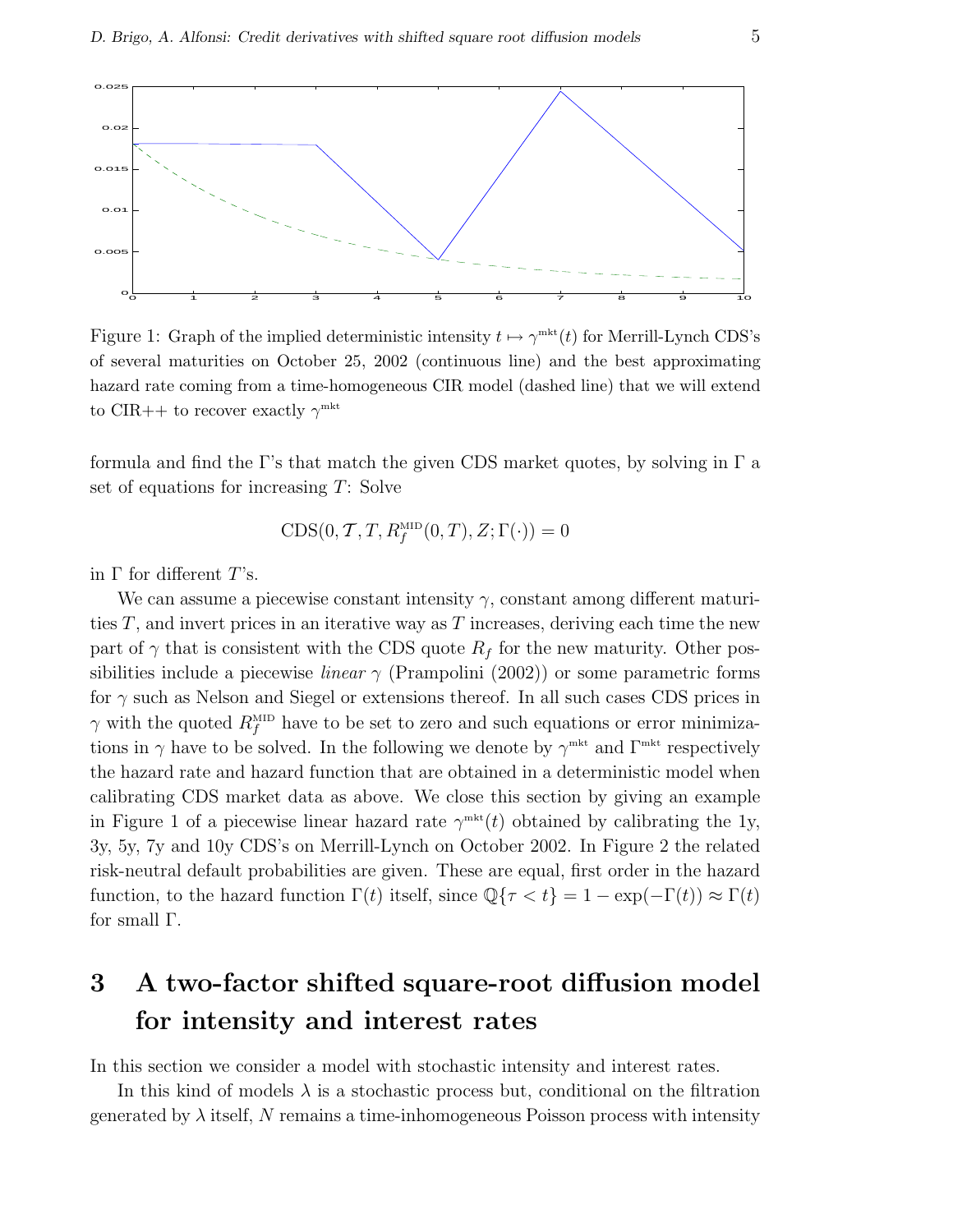

Figure 1: Graph of the implied deterministic intensity  $t \mapsto \gamma^{\text{mkt}}(t)$  for Merrill-Lynch CDS's of several maturities on October 25, 2002 (continuous line) and the best approximating hazard rate coming from a time-homogeneous CIR model (dashed line) that we will extend to CIR++ to recover exactly  $\gamma^{\text{mkt}}$ 

formula and find the Γ's that match the given CDS market quotes, by solving in  $\Gamma$  a set of equations for increasing T: Solve

$$
CDS(0, T, T, R_f^{\text{MID}}(0, T), Z; \Gamma(\cdot)) = 0
$$

in  $\Gamma$  for different  $T$ 's.

We can assume a piecewise constant intensity  $\gamma$ , constant among different maturities  $T$ , and invert prices in an iterative way as  $T$  increases, deriving each time the new part of  $\gamma$  that is consistent with the CDS quote  $R_f$  for the new maturity. Other possibilities include a piecewise *linear*  $\gamma$  (Prampolini (2002)) or some parametric forms for  $\gamma$  such as Nelson and Siegel or extensions thereof. In all such cases CDS prices in  $\gamma$  with the quoted  $R_f^{\text{MD}}$  have to be set to zero and such equations or error minimizations in  $\gamma$  have to be solved. In the following we denote by  $\gamma^{\text{mkt}}$  and  $\Gamma^{\text{mkt}}$  respectively the hazard rate and hazard function that are obtained in a deterministic model when calibrating CDS market data as above. We close this section by giving an example in Figure 1 of a piecewise linear hazard rate  $\gamma^{\text{mk}(t)}$  obtained by calibrating the 1y, 3y, 5y, 7y and 10y CDS's on Merrill-Lynch on October 2002. In Figure 2 the related risk-neutral default probabilities are given. These are equal, first order in the hazard function, to the hazard function  $\Gamma(t)$  itself, since  $\mathbb{Q}\{\tau < t\} = 1 - \exp(-\Gamma(t)) \approx \Gamma(t)$ for small Γ.

## 3 A two-factor shifted square-root diffusion model for intensity and interest rates

In this section we consider a model with stochastic intensity and interest rates.

In this kind of models  $\lambda$  is a stochastic process but, conditional on the filtration generated by  $\lambda$  itself, N remains a time-inhomogeneous Poisson process with intensity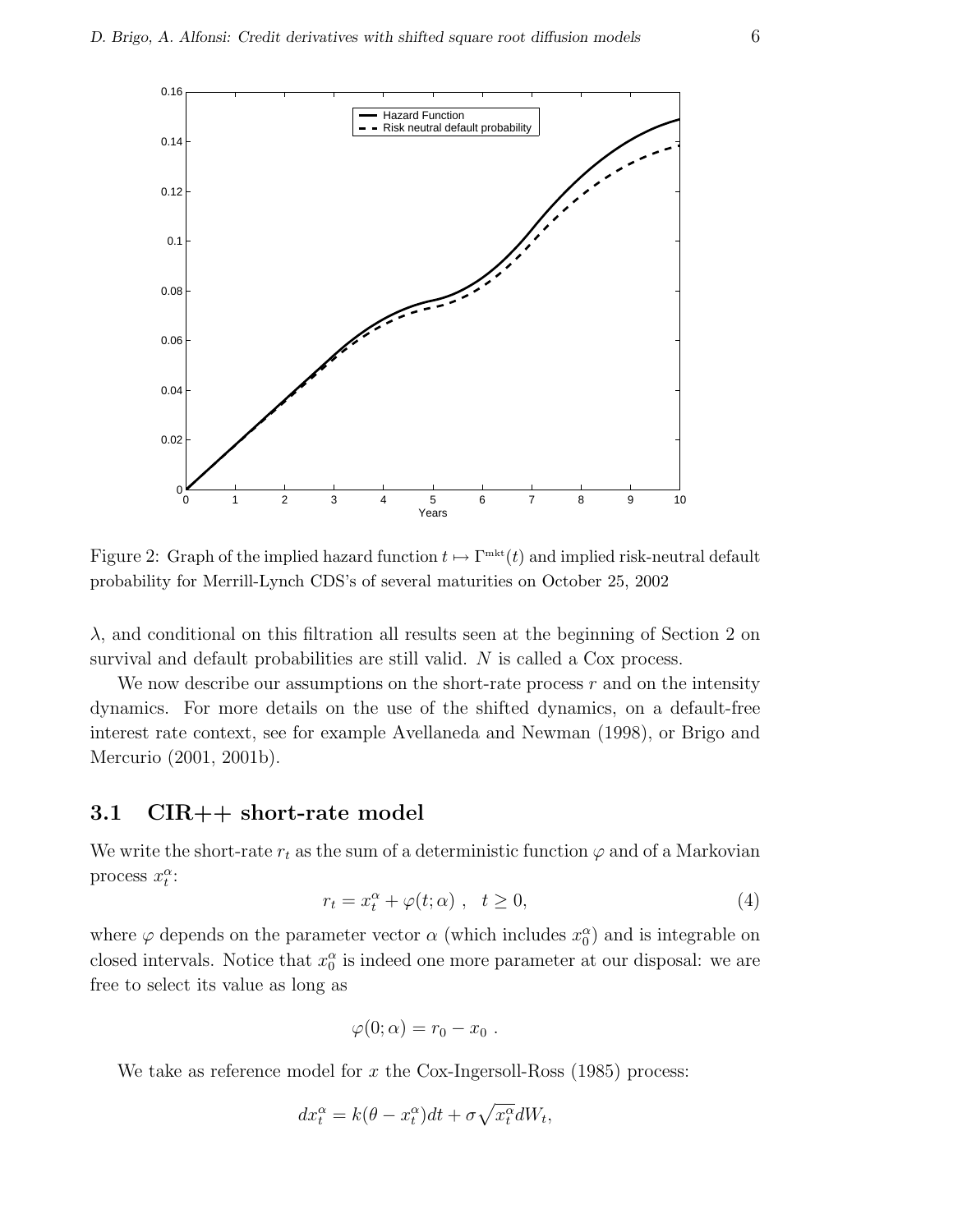

Figure 2: Graph of the implied hazard function  $t \mapsto \Gamma^{\text{mkt}}(t)$  and implied risk-neutral default probability for Merrill-Lynch CDS's of several maturities on October 25, 2002

 $\lambda$ , and conditional on this filtration all results seen at the beginning of Section 2 on survival and default probabilities are still valid. N is called a Cox process.

We now describe our assumptions on the short-rate process  $r$  and on the intensity dynamics. For more details on the use of the shifted dynamics, on a default-free interest rate context, see for example Avellaneda and Newman (1998), or Brigo and Mercurio (2001, 2001b).

#### 3.1 CIR++ short-rate model

We write the short-rate  $r_t$  as the sum of a deterministic function  $\varphi$  and of a Markovian process  $x_t^{\alpha}$ :

$$
r_t = x_t^{\alpha} + \varphi(t; \alpha) , \quad t \ge 0,
$$
\n<sup>(4)</sup>

where  $\varphi$  depends on the parameter vector  $\alpha$  (which includes  $x_0^{\alpha}$ ) and is integrable on closed intervals. Notice that  $x_0^{\alpha}$  is indeed one more parameter at our disposal: we are free to select its value as long as

$$
\varphi(0;\alpha)=r_0-x_0.
$$

We take as reference model for x the Cox-Ingersoll-Ross  $(1985)$  process:

$$
dx_t^{\alpha} = k(\theta - x_t^{\alpha})dt + \sigma \sqrt{x_t^{\alpha}}dW_t,
$$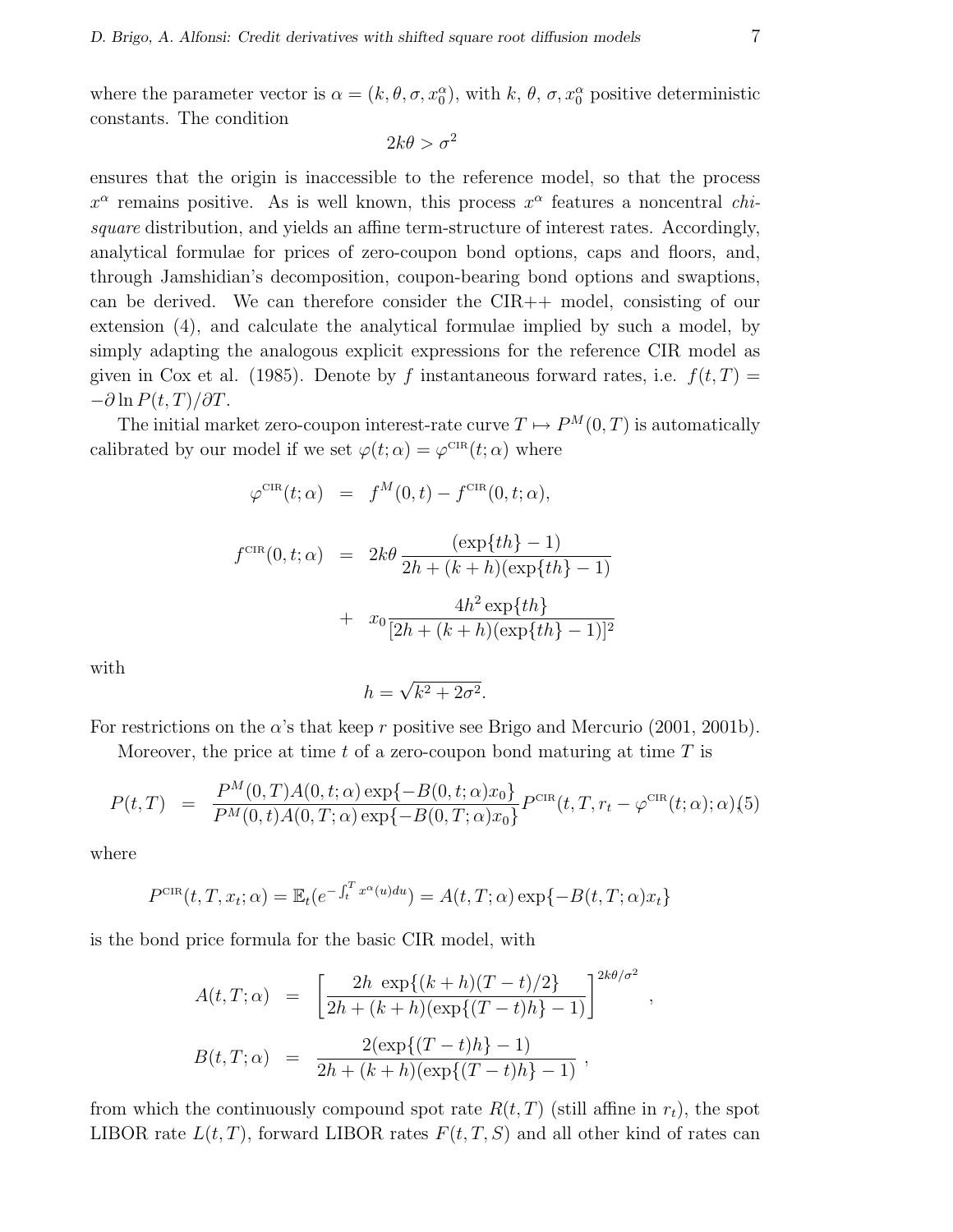where the parameter vector is  $\alpha = (k, \theta, \sigma, x_0^{\alpha})$ , with k,  $\theta$ ,  $\sigma, x_0^{\alpha}$  positive deterministic constants. The condition

$$
2k\theta > \sigma^2
$$

ensures that the origin is inaccessible to the reference model, so that the process  $x^{\alpha}$  remains positive. As is well known, this process  $x^{\alpha}$  features a noncentral *chi*square distribution, and yields an affine term-structure of interest rates. Accordingly, analytical formulae for prices of zero-coupon bond options, caps and floors, and, through Jamshidian's decomposition, coupon-bearing bond options and swaptions, can be derived. We can therefore consider the CIR++ model, consisting of our extension (4), and calculate the analytical formulae implied by such a model, by simply adapting the analogous explicit expressions for the reference CIR model as given in Cox et al. (1985). Denote by f instantaneous forward rates, i.e.  $f(t,T) =$  $-\partial \ln P(t,T)/\partial T$ .

The initial market zero-coupon interest-rate curve  $T \mapsto P^{M}(0,T)$  is automatically calibrated by our model if we set  $\varphi(t;\alpha) = \varphi^{\text{CIR}}(t;\alpha)$  where

$$
\varphi^{\text{CIR}}(t; \alpha) = f^M(0, t) - f^{\text{CIR}}(0, t; \alpha),
$$

$$
f^{\text{CIR}}(0, t; \alpha) = 2k\theta \frac{(\exp\{th\} - 1)}{2h + (k + h)(\exp\{th\} - 1)}
$$

$$
+ x_0 \frac{4h^2 \exp\{th\}}{[2h + (k + h)(\exp\{th\} - 1)]^2}
$$

with

$$
h = \sqrt{k^2 + 2\sigma^2}.
$$

For restrictions on the  $\alpha$ 's that keep r positive see Brigo and Mercurio (2001, 2001b).

Moreover, the price at time t of a zero-coupon bond maturing at time  $T$  is

$$
P(t,T) = \frac{P^M(0,T)A(0,t;\alpha) \exp\{-B(0,t;\alpha)x_0\}}{P^M(0,t)A(0,T;\alpha) \exp\{-B(0,T;\alpha)x_0\}} P^{\text{CIR}}(t,T,r_t-\varphi^{\text{CIR}}(t;\alpha);\alpha)(5)
$$

where

$$
P^{\text{CIR}}(t, T, x_t; \alpha) = \mathbb{E}_t(e^{-\int_t^T x^{\alpha}(u) du}) = A(t, T; \alpha) \exp\{-B(t, T; \alpha)x_t\}
$$

is the bond price formula for the basic CIR model, with

$$
A(t,T;\alpha) = \left[ \frac{2h \exp\{(k+h)(T-t)/2\}}{2h + (k+h)(\exp\{(T-t)h\} - 1)} \right]^{2k\theta/\sigma^2}
$$
  

$$
B(t,T;\alpha) = \frac{2(\exp\{(T-t)h\} - 1)}{2h + (k+h)(\exp\{(T-t)h\} - 1)},
$$

,

from which the continuously compound spot rate  $R(t, T)$  (still affine in  $r_t$ ), the spot LIBOR rate  $L(t,T)$ , forward LIBOR rates  $F(t,T,S)$  and all other kind of rates can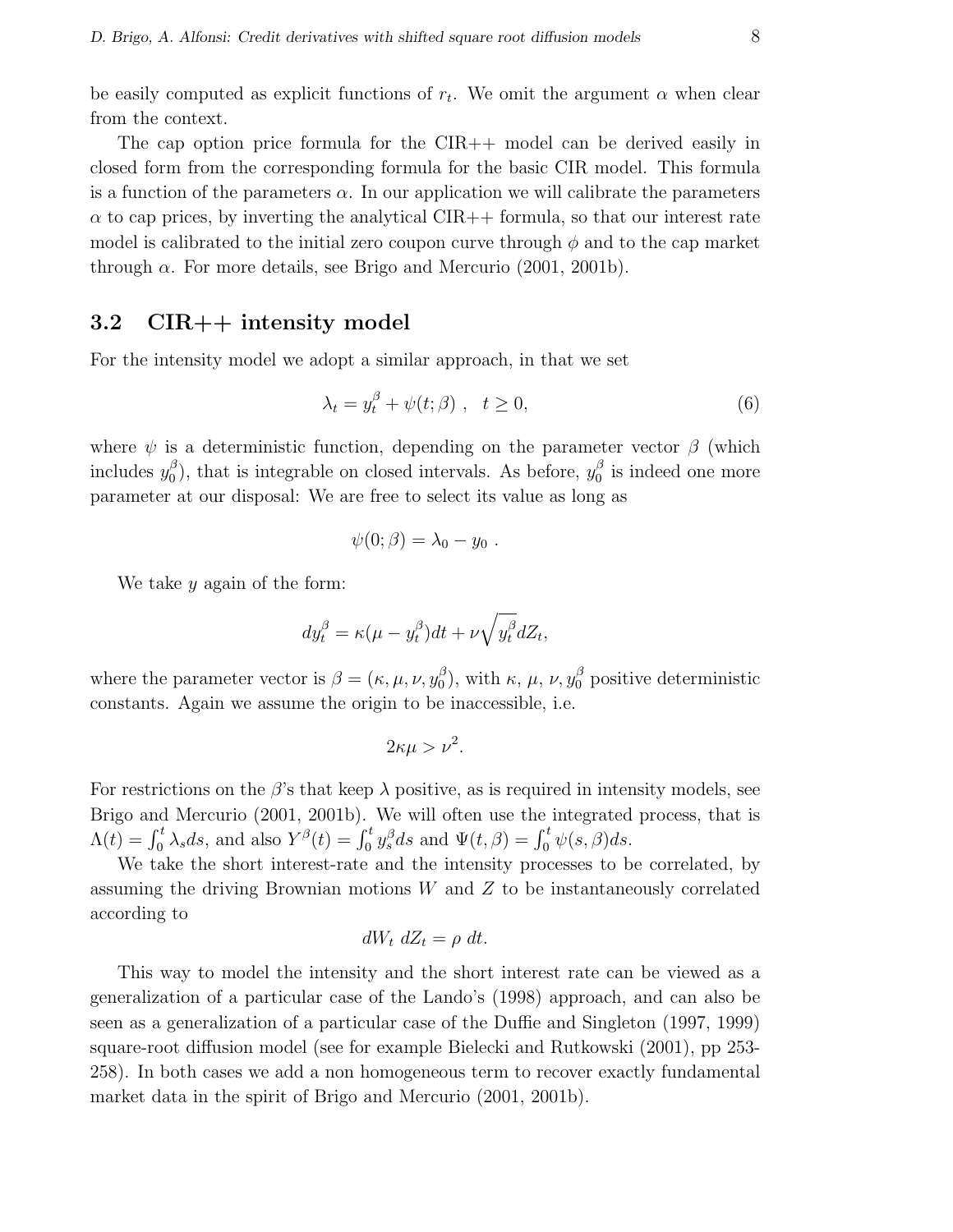be easily computed as explicit functions of  $r_t$ . We omit the argument  $\alpha$  when clear from the context.

The cap option price formula for the CIR++ model can be derived easily in closed form from the corresponding formula for the basic CIR model. This formula is a function of the parameters  $\alpha$ . In our application we will calibrate the parameters  $\alpha$  to cap prices, by inverting the analytical CIR++ formula, so that our interest rate model is calibrated to the initial zero coupon curve through  $\phi$  and to the cap market through  $\alpha$ . For more details, see Brigo and Mercurio (2001, 2001b).

#### 3.2 CIR++ intensity model

For the intensity model we adopt a similar approach, in that we set

$$
\lambda_t = y_t^{\beta} + \psi(t; \beta) , \quad t \ge 0,
$$
\n<sup>(6)</sup>

where  $\psi$  is a deterministic function, depending on the parameter vector  $\beta$  (which includes  $y_0^{\beta}$  $\beta_0^{\beta}$ , that is integrable on closed intervals. As before,  $y_0^{\beta}$  $\frac{\beta}{0}$  is indeed one more parameter at our disposal: We are free to select its value as long as

$$
\psi(0;\beta)=\lambda_0-y_0.
$$

We take  $y$  again of the form:

$$
dy_t^{\beta} = \kappa(\mu - y_t^{\beta})dt + \nu \sqrt{y_t^{\beta}}dZ_t,
$$

where the parameter vector is  $\beta = (\kappa, \mu, \nu, y_0^{\beta})$  $\binom{\beta}{0}$ , with  $\kappa$ ,  $\mu$ ,  $\nu$ ,  $y_0^{\beta}$  positive deterministic constants. Again we assume the origin to be inaccessible, i.e.

$$
2\kappa\mu > \nu^2.
$$

For restrictions on the  $\beta$ 's that keep  $\lambda$  positive, as is required in intensity models, see Brigo and Mercurio (2001, 2001b). We will often use the integrated process, that is Brigo and Mercurio (2001, 2001b). We will often use the integrated  $\Lambda(t) = \int_0^t \lambda_s ds$ , and also  $Y^{\beta}(t) = \int_0^t y_s^{\beta} ds$  and  $\Psi(t, \beta) = \int_0^t \psi(s, \beta) ds$ .

We take the short interest-rate and the intensity processes to be correlated, by assuming the driving Brownian motions  $W$  and  $Z$  to be instantaneously correlated according to

$$
dW_t dZ_t = \rho dt.
$$

This way to model the intensity and the short interest rate can be viewed as a generalization of a particular case of the Lando's (1998) approach, and can also be seen as a generalization of a particular case of the Duffie and Singleton (1997, 1999) square-root diffusion model (see for example Bielecki and Rutkowski (2001), pp 253- 258). In both cases we add a non homogeneous term to recover exactly fundamental market data in the spirit of Brigo and Mercurio (2001, 2001b).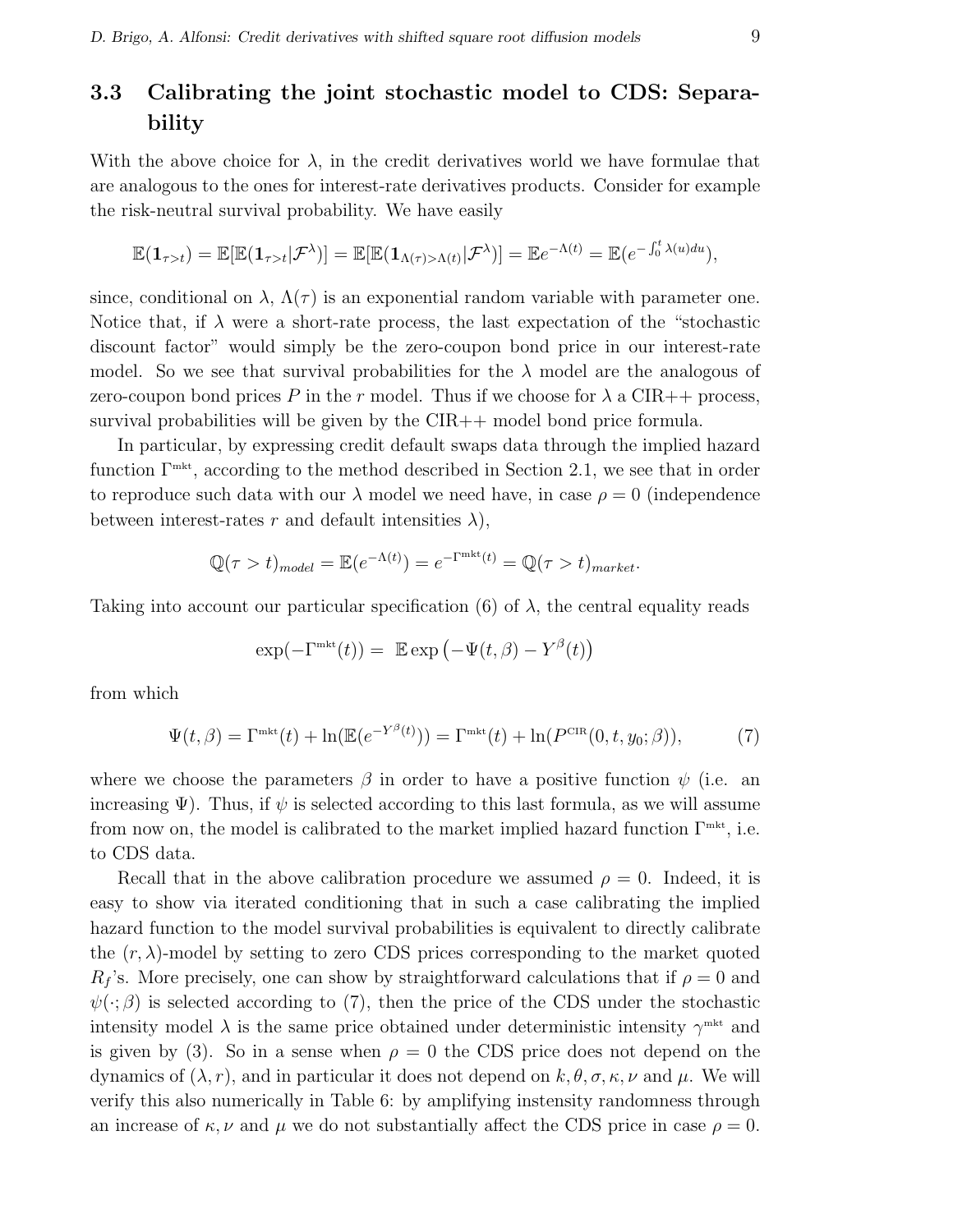### 3.3 Calibrating the joint stochastic model to CDS: Separability

With the above choice for  $\lambda$ , in the credit derivatives world we have formulae that are analogous to the ones for interest-rate derivatives products. Consider for example the risk-neutral survival probability. We have easily

$$
\mathbb{E}(\mathbf{1}_{\tau>t})=\mathbb{E}[\mathbb{E}(\mathbf{1}_{\tau>t}|\mathcal{F}^{\lambda})]=\mathbb{E}[\mathbb{E}(\mathbf{1}_{\Lambda(\tau)> \Lambda(t)}|\mathcal{F}^{\lambda})]=\mathbb{E}e^{-\Lambda(t)}=\mathbb{E}(e^{-\int_0^t \lambda(u)du}),
$$

since, conditional on  $\lambda$ ,  $\Lambda(\tau)$  is an exponential random variable with parameter one. Notice that, if  $\lambda$  were a short-rate process, the last expectation of the "stochastic discount factor" would simply be the zero-coupon bond price in our interest-rate model. So we see that survival probabilities for the  $\lambda$  model are the analogous of zero-coupon bond prices P in the r model. Thus if we choose for  $\lambda$  a CIR++ process, survival probabilities will be given by the CIR++ model bond price formula.

In particular, by expressing credit default swaps data through the implied hazard function  $\Gamma^{\text{mkt}}$ , according to the method described in Section 2.1, we see that in order to reproduce such data with our  $\lambda$  model we need have, in case  $\rho = 0$  (independence between interest-rates r and default intensities  $\lambda$ ),

$$
\mathbb{Q}(\tau > t)_{model} = \mathbb{E}(e^{-\Lambda(t)}) = e^{-\Gamma^{\text{mkt}}(t)} = \mathbb{Q}(\tau > t)_{market}.
$$

Taking into account our particular specification (6) of  $\lambda$ , the central equality reads

$$
\exp(-\Gamma^{\text{mkt}}(t)) = \mathbb{E} \exp(-\Psi(t,\beta) - Y^{\beta}(t))
$$

from which

$$
\Psi(t,\beta) = \Gamma^{\text{mkt}}(t) + \ln(\mathbb{E}(e^{-Y^{\beta}(t)})) = \Gamma^{\text{mkt}}(t) + \ln(P^{\text{CIR}}(0,t,y_0;\beta)),\tag{7}
$$

where we choose the parameters  $\beta$  in order to have a positive function  $\psi$  (i.e. an increasing  $\Psi$ ). Thus, if  $\psi$  is selected according to this last formula, as we will assume from now on, the model is calibrated to the market implied hazard function  $\Gamma^{\text{mkt}}$ , i.e. to CDS data.

Recall that in the above calibration procedure we assumed  $\rho = 0$ . Indeed, it is easy to show via iterated conditioning that in such a case calibrating the implied hazard function to the model survival probabilities is equivalent to directly calibrate the  $(r, \lambda)$ -model by setting to zero CDS prices corresponding to the market quoted  $R_f$ 's. More precisely, one can show by straightforward calculations that if  $\rho = 0$  and  $\psi(\cdot;\beta)$  is selected according to (7), then the price of the CDS under the stochastic intensity model  $\lambda$  is the same price obtained under deterministic intensity  $\gamma^{\text{mkt}}$  and is given by (3). So in a sense when  $\rho = 0$  the CDS price does not depend on the dynamics of  $(\lambda, r)$ , and in particular it does not depend on  $k, \theta, \sigma, \kappa, \nu$  and  $\mu$ . We will verify this also numerically in Table 6: by amplifying instensity randomness through an increase of  $\kappa, \nu$  and  $\mu$  we do not substantially affect the CDS price in case  $\rho = 0$ .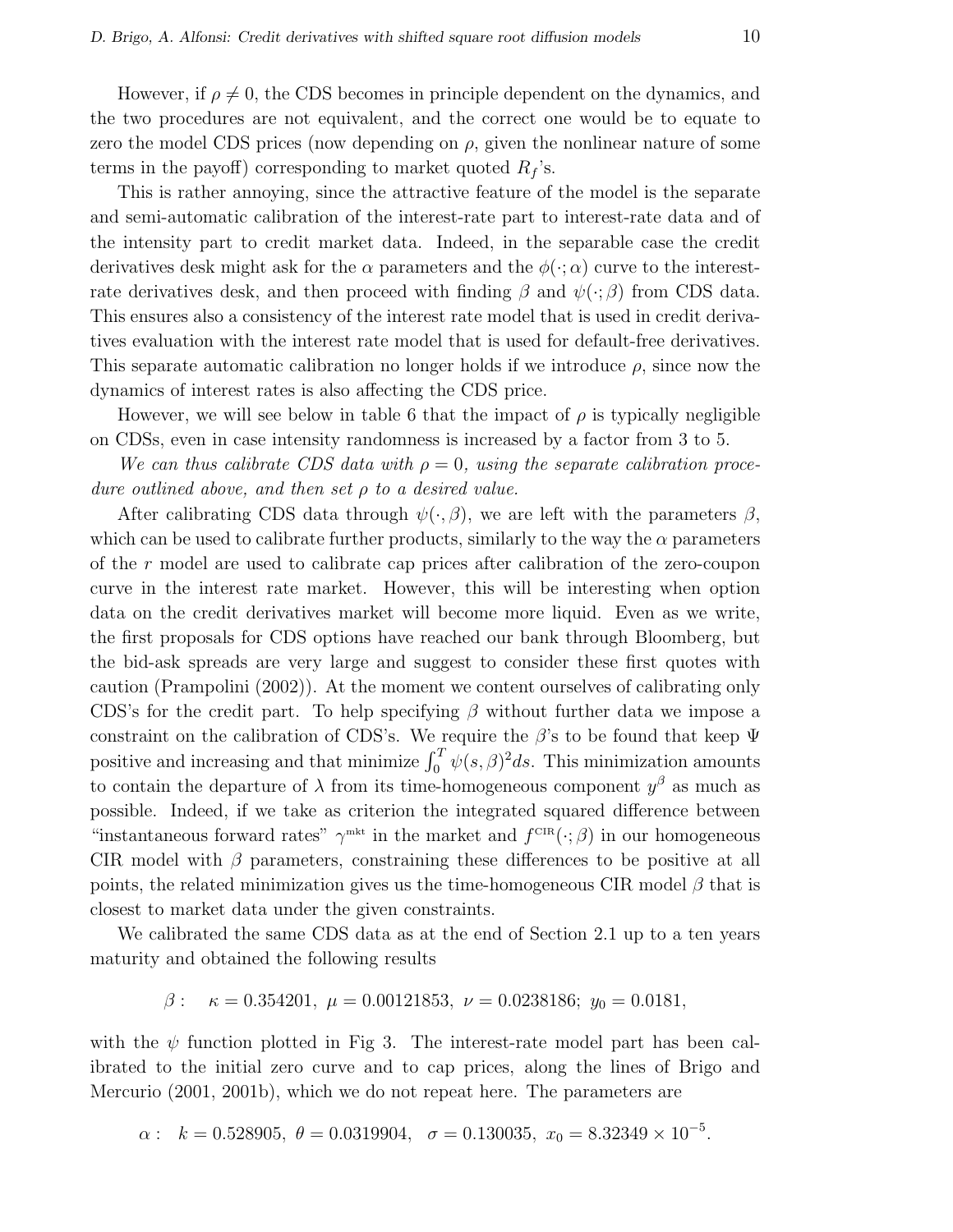However, if  $\rho \neq 0$ , the CDS becomes in principle dependent on the dynamics, and the two procedures are not equivalent, and the correct one would be to equate to zero the model CDS prices (now depending on  $\rho$ , given the nonlinear nature of some terms in the payoff) corresponding to market quoted  $R_f$ 's.

This is rather annoying, since the attractive feature of the model is the separate and semi-automatic calibration of the interest-rate part to interest-rate data and of the intensity part to credit market data. Indeed, in the separable case the credit derivatives desk might ask for the  $\alpha$  parameters and the  $\phi(\cdot; \alpha)$  curve to the interestrate derivatives desk, and then proceed with finding  $\beta$  and  $\psi(\cdot;\beta)$  from CDS data. This ensures also a consistency of the interest rate model that is used in credit derivatives evaluation with the interest rate model that is used for default-free derivatives. This separate automatic calibration no longer holds if we introduce  $\rho$ , since now the dynamics of interest rates is also affecting the CDS price.

However, we will see below in table 6 that the impact of  $\rho$  is typically negligible on CDSs, even in case intensity randomness is increased by a factor from 3 to 5.

We can thus calibrate CDS data with  $\rho = 0$ , using the separate calibration procedure outlined above, and then set ρ to a desired value.

After calibrating CDS data through  $\psi(\cdot, \beta)$ , we are left with the parameters  $\beta$ , which can be used to calibrate further products, similarly to the way the  $\alpha$  parameters of the r model are used to calibrate cap prices after calibration of the zero-coupon curve in the interest rate market. However, this will be interesting when option data on the credit derivatives market will become more liquid. Even as we write, the first proposals for CDS options have reached our bank through Bloomberg, but the bid-ask spreads are very large and suggest to consider these first quotes with caution (Prampolini (2002)). At the moment we content ourselves of calibrating only CDS's for the credit part. To help specifying  $\beta$  without further data we impose a constraint on the calibration of CDS's. We require the  $\beta$ 's to be found that keep  $\Psi$ positive and increasing and that minimize  $\int_0^T \psi(s,\beta)^2 ds$ . This minimization amounts to contain the departure of  $\lambda$  from its time-homogeneous component  $y^{\beta}$  as much as possible. Indeed, if we take as criterion the integrated squared difference between "instantaneous forward rates"  $\gamma^{\text{mkt}}$  in the market and  $f^{\text{CIR}}(\cdot;\beta)$  in our homogeneous CIR model with  $\beta$  parameters, constraining these differences to be positive at all points, the related minimization gives us the time-homogeneous CIR model  $\beta$  that is closest to market data under the given constraints.

We calibrated the same CDS data as at the end of Section 2.1 up to a ten years maturity and obtained the following results

$$
\beta
$$
:  $\kappa = 0.354201$ ,  $\mu = 0.00121853$ ,  $\nu = 0.0238186$ ;  $y_0 = 0.0181$ ,

with the  $\psi$  function plotted in Fig 3. The interest-rate model part has been calibrated to the initial zero curve and to cap prices, along the lines of Brigo and Mercurio (2001, 2001b), which we do not repeat here. The parameters are

 $\alpha: k = 0.528905, \ \theta = 0.0319904, \ \sigma = 0.130035, \ x_0 = 8.32349 \times 10^{-5}.$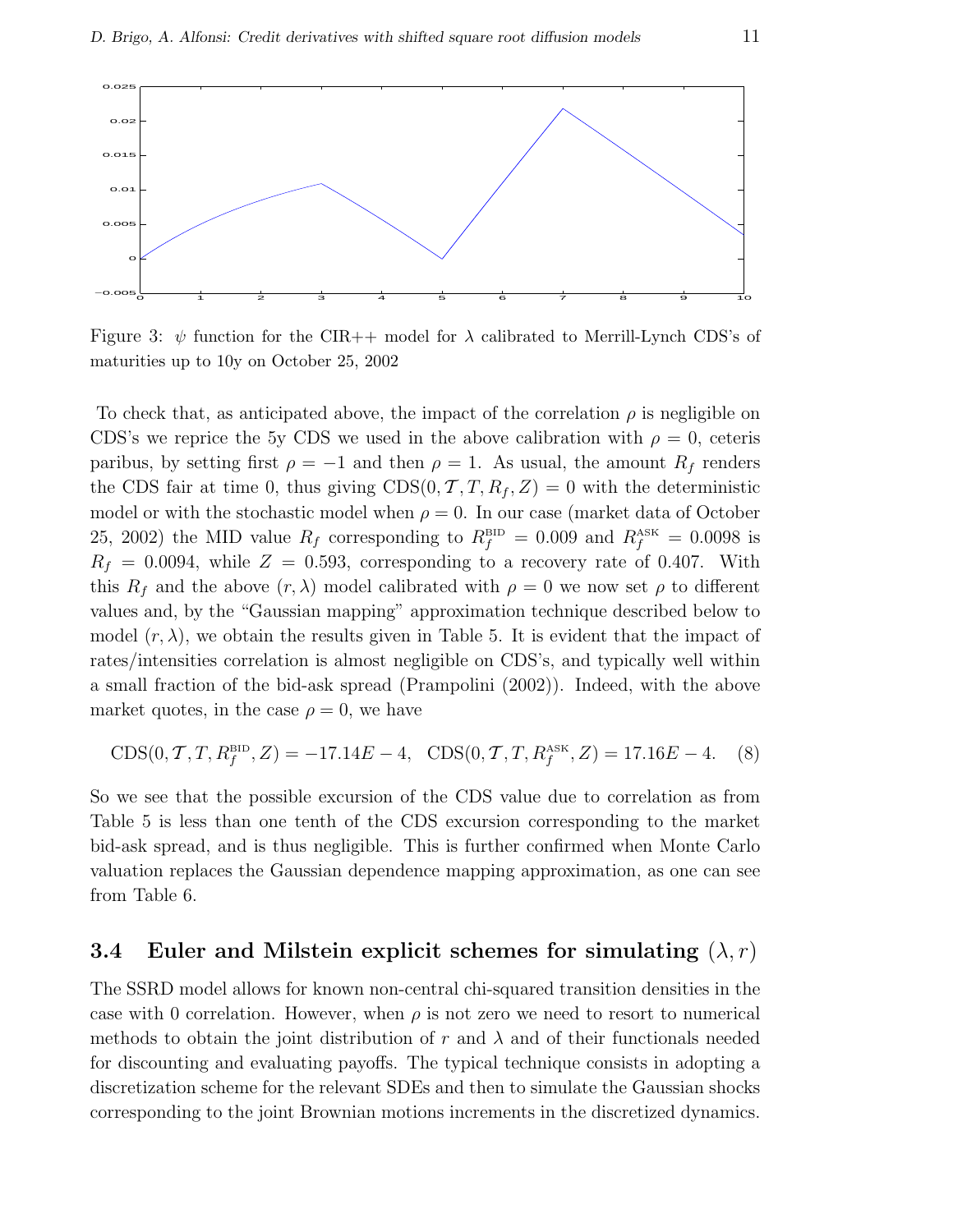

Figure 3:  $\psi$  function for the CIR++ model for  $\lambda$  calibrated to Merrill-Lynch CDS's of maturities up to 10y on October 25, 2002

To check that, as anticipated above, the impact of the correlation  $\rho$  is negligible on CDS's we reprice the 5y CDS we used in the above calibration with  $\rho = 0$ , ceteris paribus, by setting first  $\rho = -1$  and then  $\rho = 1$ . As usual, the amount  $R_f$  renders the CDS fair at time 0, thus giving  $CDS(0, T, T, R_f, Z) = 0$  with the deterministic model or with the stochastic model when  $\rho = 0$ . In our case (market data of October 25, 2002) the MID value  $R_f$  corresponding to  $R_f^{\text{BD}} = 0.009$  and  $R_f^{\text{ASK}} = 0.0098$  is  $R_f = 0.0094$ , while  $Z = 0.593$ , corresponding to a recovery rate of 0.407. With this  $R_f$  and the above  $(r, \lambda)$  model calibrated with  $\rho = 0$  we now set  $\rho$  to different values and, by the "Gaussian mapping" approximation technique described below to model  $(r, \lambda)$ , we obtain the results given in Table 5. It is evident that the impact of rates/intensities correlation is almost negligible on CDS's, and typically well within a small fraction of the bid-ask spread (Prampolini (2002)). Indeed, with the above market quotes, in the case  $\rho = 0$ , we have

$$
CDS(0, T, T, R_f^{\text{BID}}, Z) = -17.14E - 4, \quad CDS(0, T, T, R_f^{\text{ASK}}, Z) = 17.16E - 4. \tag{8}
$$

So we see that the possible excursion of the CDS value due to correlation as from Table 5 is less than one tenth of the CDS excursion corresponding to the market bid-ask spread, and is thus negligible. This is further confirmed when Monte Carlo valuation replaces the Gaussian dependence mapping approximation, as one can see from Table 6.

#### 3.4 Euler and Milstein explicit schemes for simulating  $(\lambda, r)$

The SSRD model allows for known non-central chi-squared transition densities in the case with 0 correlation. However, when  $\rho$  is not zero we need to resort to numerical methods to obtain the joint distribution of r and  $\lambda$  and of their functionals needed for discounting and evaluating payoffs. The typical technique consists in adopting a discretization scheme for the relevant SDEs and then to simulate the Gaussian shocks corresponding to the joint Brownian motions increments in the discretized dynamics.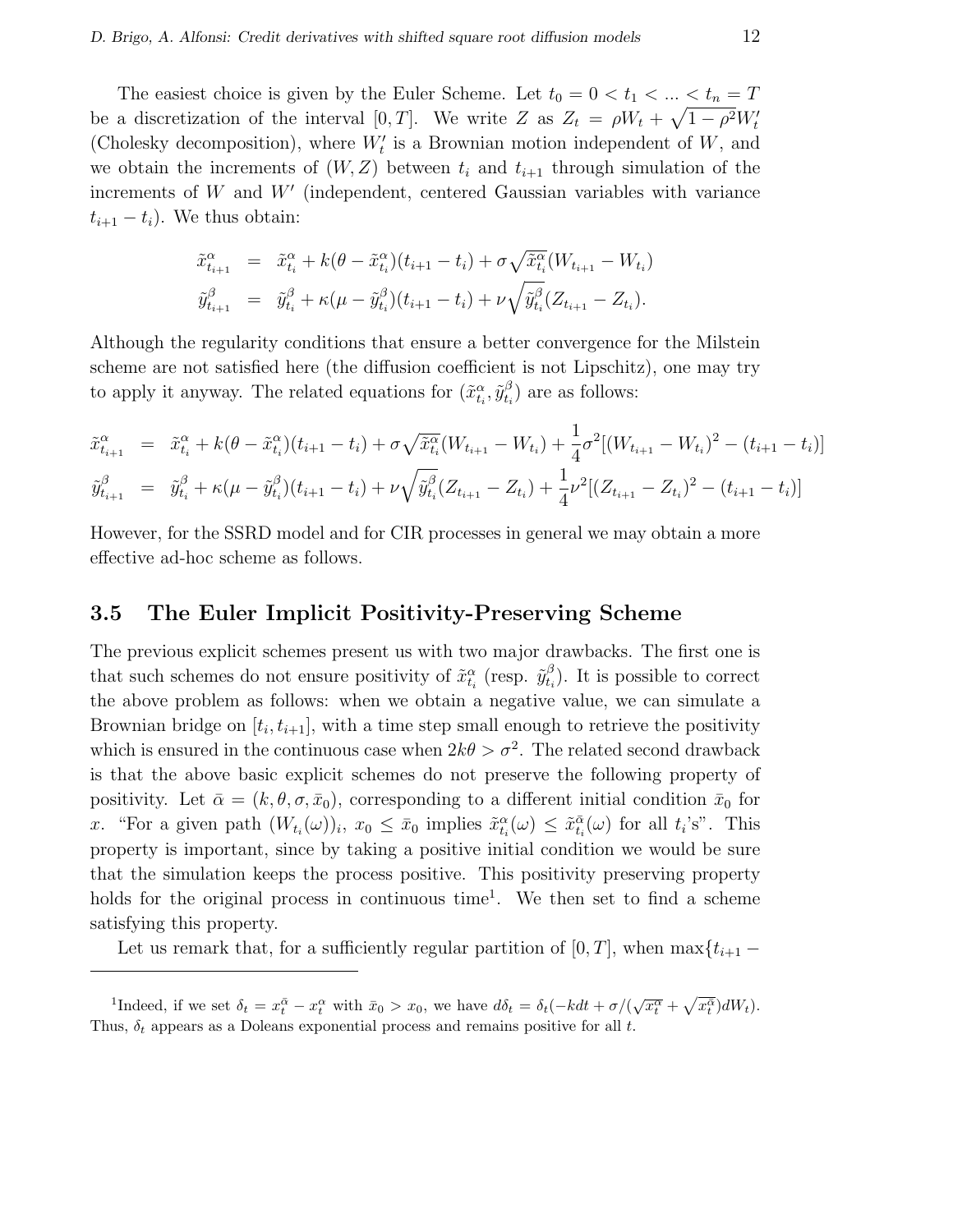The easiest choice is given by the Euler Scheme. Let  $t_0 = 0 < t_1 < ... \le t_n = T$ be a discretization of the interval [0, T]. We write Z as  $Z_t = \rho W_t + \sqrt{1 - \rho^2} W_t$ (Cholesky decomposition), where  $W'_t$  is a Brownian motion independent of  $W$ , and we obtain the increments of  $(W, Z)$  between  $t_i$  and  $t_{i+1}$  through simulation of the increments of  $W$  and  $W'$  (independent, centered Gaussian variables with variance  $t_{i+1} - t_i$ ). We thus obtain:

$$
\tilde{x}_{t_{i+1}}^{\alpha} = \tilde{x}_{t_i}^{\alpha} + k(\theta - \tilde{x}_{t_i}^{\alpha})(t_{i+1} - t_i) + \sigma \sqrt{\tilde{x}_{t_i}^{\alpha}} (W_{t_{i+1}} - W_{t_i})
$$
  

$$
\tilde{y}_{t_{i+1}}^{\beta} = \tilde{y}_{t_i}^{\beta} + \kappa(\mu - \tilde{y}_{t_i}^{\beta})(t_{i+1} - t_i) + \nu \sqrt{\tilde{y}_{t_i}^{\beta}} (Z_{t_{i+1}} - Z_{t_i}).
$$

Although the regularity conditions that ensure a better convergence for the Milstein scheme are not satisfied here (the diffusion coefficient is not Lipschitz), one may try to apply it anyway. The related equations for  $(\tilde{x}^{\alpha}_{t_i}, \tilde{y}^{\beta}_{t_i})$  $_{t_i}^{\beta}$  are as follows:

$$
\tilde{x}_{t_{i+1}}^{\alpha} = \tilde{x}_{t_i}^{\alpha} + k(\theta - \tilde{x}_{t_i}^{\alpha})(t_{i+1} - t_i) + \sigma \sqrt{\tilde{x}_{t_i}^{\alpha}} (W_{t_{i+1}} - W_{t_i}) + \frac{1}{4} \sigma^2 [(W_{t_{i+1}} - W_{t_i})^2 - (t_{i+1} - t_i)]
$$
  

$$
\tilde{y}_{t_{i+1}}^{\beta} = \tilde{y}_{t_i}^{\beta} + \kappa(\mu - \tilde{y}_{t_i}^{\beta})(t_{i+1} - t_i) + \nu \sqrt{\tilde{y}_{t_i}^{\beta}} (Z_{t_{i+1}} - Z_{t_i}) + \frac{1}{4} \nu^2 [(Z_{t_{i+1}} - Z_{t_i})^2 - (t_{i+1} - t_i)]
$$

However, for the SSRD model and for CIR processes in general we may obtain a more effective ad-hoc scheme as follows.

#### 3.5 The Euler Implicit Positivity-Preserving Scheme

The previous explicit schemes present us with two major drawbacks. The first one is that such schemes do not ensure positivity of  $\tilde{x}_{t_i}^{\alpha}$  (resp.  $\tilde{y}_{t_i}^{\beta}$  $_{t_i}^{\beta}$ ). It is possible to correct the above problem as follows: when we obtain a negative value, we can simulate a Brownian bridge on  $[t_i, t_{i+1}]$ , with a time step small enough to retrieve the positivity which is ensured in the continuous case when  $2k\theta > \sigma^2$ . The related second drawback is that the above basic explicit schemes do not preserve the following property of positivity. Let  $\bar{\alpha} = (k, \theta, \sigma, \bar{x}_0)$ , corresponding to a different initial condition  $\bar{x}_0$  for x. "For a given path  $(W_{t_i}(\omega))_i$ ,  $x_0 \leq \bar{x}_0$  implies  $\tilde{x}_{t_i}^{\alpha}(\omega) \leq \tilde{x}_{t_i}^{\bar{\alpha}}(\omega)$  for all  $t_i$ 's". This property is important, since by taking a positive initial condition we would be sure that the simulation keeps the process positive. This positivity preserving property holds for the original process in continuous time<sup>1</sup>. We then set to find a scheme satisfying this property.

Let us remark that, for a sufficiently regular partition of [0, T], when  $\max\{t_{i+1}$  –

<sup>&</sup>lt;sup>1</sup>Indeed, if we set  $\delta_t = x_t^{\bar{\alpha}} - x_t^{\alpha}$  with  $\bar{x}_0 > x_0$ , we have  $d\delta_t = \delta_t(-kdt + \sigma/(\sqrt{x_t^{\alpha}} +$ p  $\overline{x_t^{\bar{\alpha}}})dW_t$ ). Thus,  $\delta_t$  appears as a Doleans exponential process and remains positive for all t.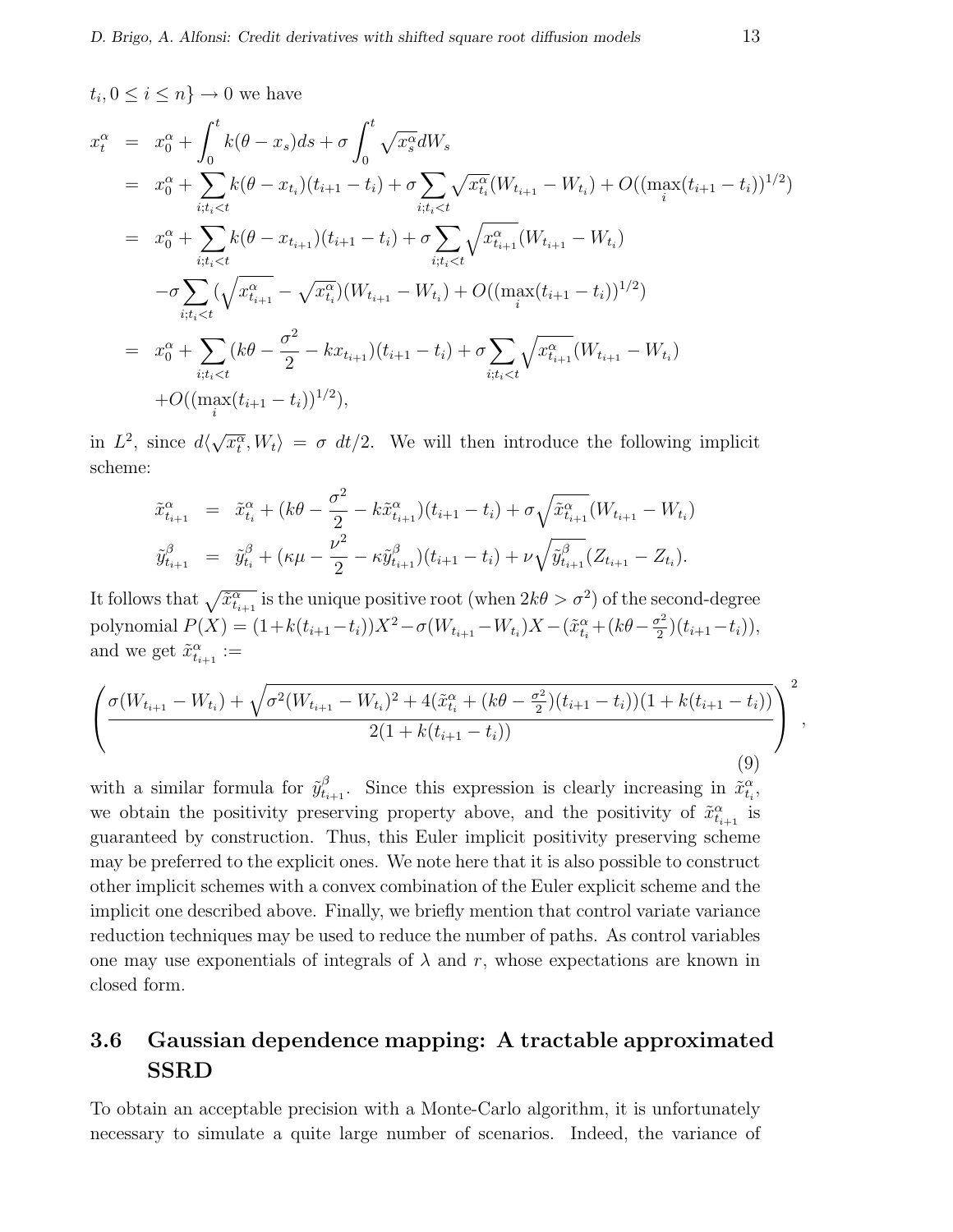$$
t_i, 0 \le i \le n \} \to 0 \text{ we have}
$$
  
\n
$$
x_t^{\alpha} = x_0^{\alpha} + \int_0^t k(\theta - x_s)ds + \sigma \int_0^t \sqrt{x_s^{\alpha}}dW_s
$$
  
\n
$$
= x_0^{\alpha} + \sum_{i:t_i < t} k(\theta - x_{t_i})(t_{i+1} - t_i) + \sigma \sum_{i:t_i < t} \sqrt{x_{t_i}^{\alpha}}(W_{t_{i+1}} - W_{t_i}) + O((\max_i (t_{i+1} - t_i))^{1/2})
$$
  
\n
$$
= x_0^{\alpha} + \sum_{i:t_i < t} k(\theta - x_{t_{i+1}})(t_{i+1} - t_i) + \sigma \sum_{i:t_i < t} \sqrt{x_{t_{i+1}}^{\alpha}}(W_{t_{i+1}} - W_{t_i})
$$
  
\n
$$
- \sigma \sum_{i:t_i < t} (\sqrt{x_{t_{i+1}}^{\alpha}} - \sqrt{x_{t_i}^{\alpha}})(W_{t_{i+1}} - W_{t_i}) + O((\max_i (t_{i+1} - t_i))^{1/2})
$$
  
\n
$$
= x_0^{\alpha} + \sum_{i:t_i < t} (k\theta - \frac{\sigma^2}{2} - kx_{t_{i+1}})(t_{i+1} - t_i) + \sigma \sum_{i:t_i < t} \sqrt{x_{t_{i+1}}^{\alpha}}(W_{t_{i+1}} - W_{t_i})
$$
  
\n
$$
+ O((\max_i (t_{i+1} - t_i))^{1/2}),
$$

in  $L^2$ , since  $d\langle$ √  $\langle \overline{x}_t^{\alpha}, W_t \rangle = \sigma dt/2$ . We will then introduce the following implicit scheme:

$$
\tilde{x}_{t_{i+1}}^{\alpha} = \tilde{x}_{t_i}^{\alpha} + (k\theta - \frac{\sigma^2}{2} - k\tilde{x}_{t_{i+1}}^{\alpha})(t_{i+1} - t_i) + \sigma \sqrt{\tilde{x}_{t_{i+1}}^{\alpha}} (W_{t_{i+1}} - W_{t_i})
$$
  

$$
\tilde{y}_{t_{i+1}}^{\beta} = \tilde{y}_{t_i}^{\beta} + (\kappa\mu - \frac{\nu^2}{2} - \kappa \tilde{y}_{t_{i+1}}^{\beta})(t_{i+1} - t_i) + \nu \sqrt{\tilde{y}_{t_{i+1}}^{\beta}} (Z_{t_{i+1}} - Z_{t_i}).
$$

It follows that  $\sqrt{\tilde{x}_{t_{i+1}}^{\alpha}}$  is the unique positive root (when  $2k\theta > \sigma^2$ ) of the second-degree polynomial  $P(X) = (1 + k(t_{i+1} - t_i))X^2 - \sigma(W_{t_{i+1}} - W_{t_i})X - (\tilde{x}_{t_i}^{\alpha} + (k\theta - \frac{\sigma^2}{2})X^2 - \sigma^2)$  $(\frac{t^2}{2})(t_{i+1}-t_i)),$ and we get  $\tilde{x}_{t_{i+1}}^{\alpha} :=$ 

$$
\left(\frac{\sigma(W_{t_{i+1}}-W_{t_i})+\sqrt{\sigma^2(W_{t_{i+1}}-W_{t_i})^2+4(\tilde{x}_{t_i}^{\alpha}+(k\theta-\frac{\sigma^2}{2})(t_{i+1}-t_i))(1+k(t_{i+1}-t_i))}}{2(1+k(t_{i+1}-t_i))}\right)^2,
$$
\n(9)

with a similar formula for  $\tilde{y}_{t_{i+1}}^{\beta}$ . Since this expression is clearly increasing in  $\tilde{x}_{t_i}^{\alpha}$ , we obtain the positivity preserving property above, and the positivity of  $\tilde{x}^{\alpha}_{t_{i+1}}$  is guaranteed by construction. Thus, this Euler implicit positivity preserving scheme may be preferred to the explicit ones. We note here that it is also possible to construct other implicit schemes with a convex combination of the Euler explicit scheme and the implicit one described above. Finally, we briefly mention that control variate variance reduction techniques may be used to reduce the number of paths. As control variables one may use exponentials of integrals of  $\lambda$  and r, whose expectations are known in closed form.

### 3.6 Gaussian dependence mapping: A tractable approximated SSRD

To obtain an acceptable precision with a Monte-Carlo algorithm, it is unfortunately necessary to simulate a quite large number of scenarios. Indeed, the variance of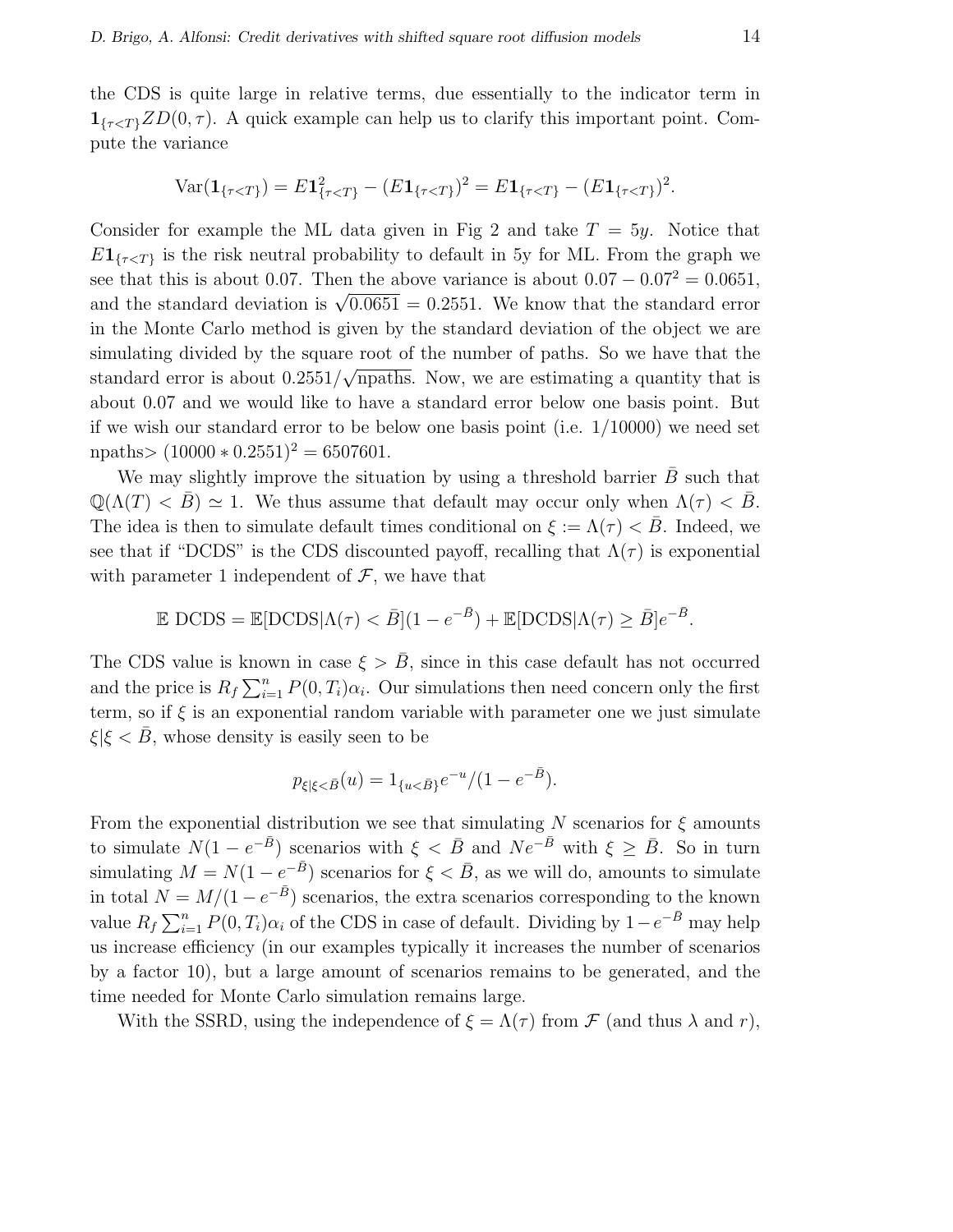the CDS is quite large in relative terms, due essentially to the indicator term in  $\mathbf{1}_{\{\tau \leq T\}} ZD(0, \tau)$ . A quick example can help us to clarify this important point. Compute the variance

$$
\text{Var}(\mathbf{1}_{\{\tau < T\}}) = E \mathbf{1}_{\{\tau < T\}}^2 - (E \mathbf{1}_{\{\tau < T\}})^2 = E \mathbf{1}_{\{\tau < T\}} - (E \mathbf{1}_{\{\tau < T\}})^2.
$$

Consider for example the ML data given in Fig 2 and take  $T = 5y$ . Notice that  $E1_{\{\tau \leq T\}}$  is the risk neutral probability to default in 5y for ML. From the graph we see that this is about 0.07. Then the above variance is about  $0.07 - 0.07^2 = 0.0651$ , see that this is about 0.07. Then the above variance is about 0.07 = 0.07 = 0.0001,<br>and the standard deviation is  $\sqrt{0.0651} = 0.2551$ . We know that the standard error in the Monte Carlo method is given by the standard deviation of the object we are simulating divided by the square root of the number of paths. So we have that the standard error is about  $0.2551/\sqrt{\text{npaths}}$ . Now, we are estimating a quantity that is about 0.07 and we would like to have a standard error below one basis point. But if we wish our standard error to be below one basis point (i.e. 1/10000) we need set npaths>  $(10000 * 0.2551)^2 = 6507601$ .

We may slightly improve the situation by using a threshold barrier  $\bar{B}$  such that  $\mathbb{Q}(\Lambda(T) < \overline{B}) \simeq 1$ . We thus assume that default may occur only when  $\Lambda(\tau) < \overline{B}$ . The idea is then to simulate default times conditional on  $\xi := \Lambda(\tau) < \bar{B}$ . Indeed, we see that if "DCDS" is the CDS discounted payoff, recalling that  $\Lambda(\tau)$  is exponential with parameter 1 independent of  $\mathcal{F}$ , we have that

$$
\mathbb{E} \text{ DCDS} = \mathbb{E}[\text{DCDS}|\Lambda(\tau) < \bar{B}](1 - e^{-\bar{B}}) + \mathbb{E}[\text{DCDS}|\Lambda(\tau) \ge \bar{B}]e^{-\bar{B}}.
$$

The CDS value is known in case  $\xi > \bar{B}$ , since in this case default has not occurred and the price is  $R_f \sum_{i=1}^n$  $\sum_{i=1}^{n} P(0, T_i)\alpha_i$ . Our simulations then need concern only the first term, so if  $\xi$  is an exponential random variable with parameter one we just simulate  $\xi|\xi < B$ , whose density is easily seen to be

$$
p_{\xi|\xi < \bar{B}}(u) = 1_{\{u < \bar{B}\}} e^{-u} / (1 - e^{-\bar{B}}).
$$

From the exponential distribution we see that simulating N scenarios for  $\xi$  amounts to simulate  $N(1 - e^{-\bar{B}})$  scenarios with  $\xi < \bar{B}$  and  $Ne^{-\bar{B}}$  with  $\xi \ge \bar{B}$ . So in turn simulating  $M = N(1 - e^{-\bar{B}})$  scenarios for  $\xi < \bar{B}$ , as we will do, amounts to simulate in total  $N = M/(1 - e^{-\bar{B}})$  scenarios, the extra scenarios corresponding to the known  $\begin{array}{l} \text{in total } N = \ \text{value } R_f \sum_{i=1}^n \end{array}$  $\sum_{i=1}^{n} P(0, T_i)\alpha_i$  of the CDS in case of default. Dividing by  $1-e^{-\bar{B}}$  may help us increase efficiency (in our examples typically it increases the number of scenarios by a factor 10), but a large amount of scenarios remains to be generated, and the time needed for Monte Carlo simulation remains large.

With the SSRD, using the independence of  $\xi = \Lambda(\tau)$  from  $\mathcal F$  (and thus  $\lambda$  and  $r$ ),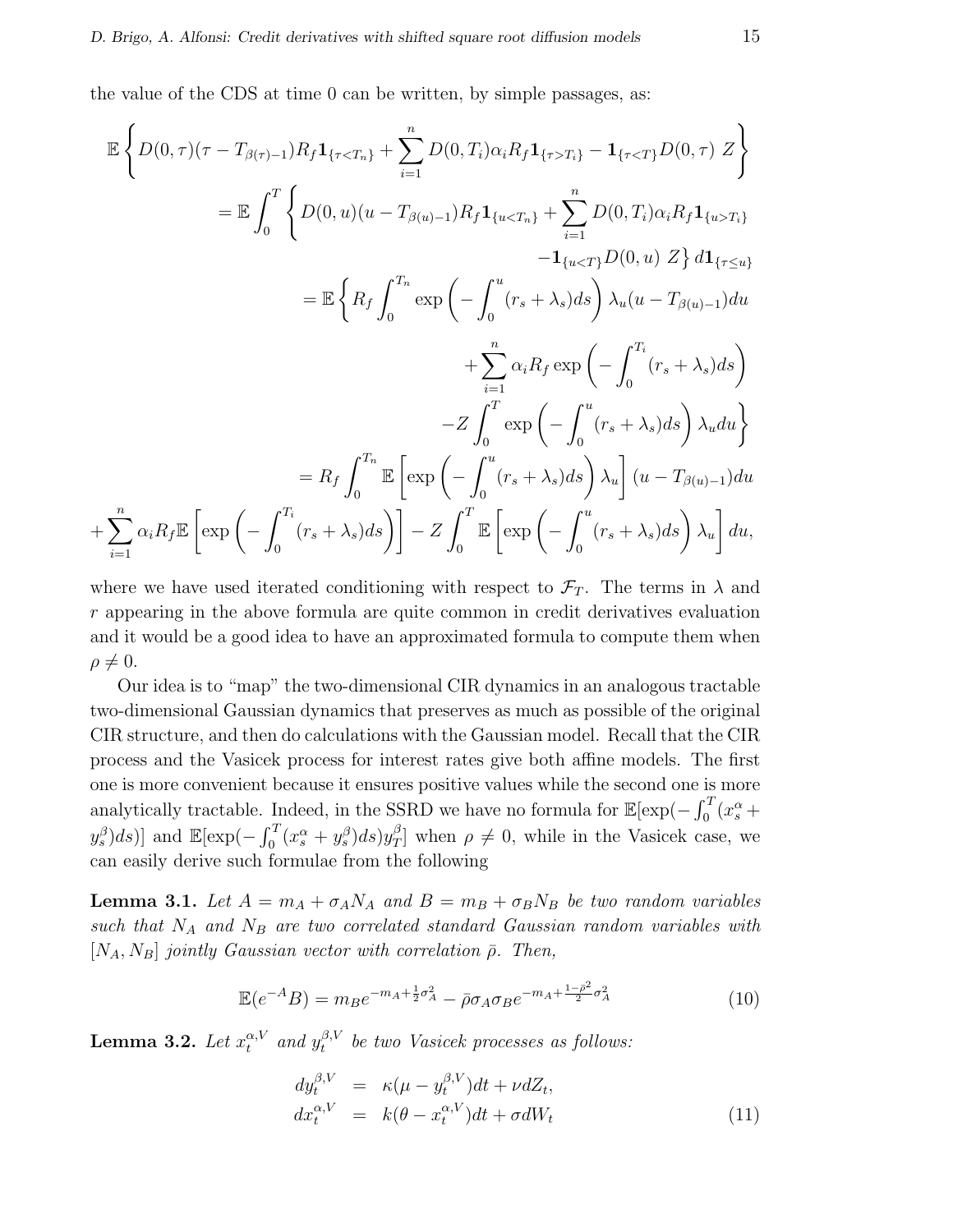the value of the CDS at time 0 can be written, by simple passages, as:

$$
\mathbb{E}\left\{D(0,\tau)(\tau-T_{\beta(\tau)-1})R_f\mathbf{1}_{\{\tauT_i\}}-\mathbf{1}_{\{\tau\n
$$
=\mathbb{E}\int_0^T \left\{D(0,u)(u-T_{\beta(u)-1})R_f\mathbf{1}_{\{uT_i\}}\right\}\n-\mathbf{1}_{\{u\n
$$
=\mathbb{E}\left\{R_f\int_0^{T_n} \exp\left(-\int_0^u (r_s+\lambda_s)ds\right)\lambda_u(u-T_{\beta(u)-1})du +\sum_{i=1}^n \alpha_iR_f \exp\left(-\int_0^{T_i} (r_s+\lambda_s)ds\right)\lambda_u du\right\}
$$
\n
$$
-Z\int_0^T \exp\left(-\int_0^u (r_s+\lambda_s)ds\right)\lambda_u du +\sum_{i=1}^n \alpha_iR_f \mathbb{E}\left[\exp\left(-\int_0^u (r_s+\lambda_s)ds\right)\lambda_u\right](u-T_{\beta(u)-1})du +\sum_{i=1}^n \alpha_iR_f \mathbb{E}\left[\exp\left(-\int_0^u (r_s+\lambda_s)ds\right)\lambda_u\right] du,
$$
$$
$$

where we have used iterated conditioning with respect to  $\mathcal{F}_T$ . The terms in  $\lambda$  and r appearing in the above formula are quite common in credit derivatives evaluation and it would be a good idea to have an approximated formula to compute them when  $\rho \neq 0.$ 

Our idea is to "map" the two-dimensional CIR dynamics in an analogous tractable two-dimensional Gaussian dynamics that preserves as much as possible of the original CIR structure, and then do calculations with the Gaussian model. Recall that the CIR process and the Vasicek process for interest rates give both affine models. The first one is more convenient because it ensures positive values while the second one is more one is more convenient because it ensures positive values while the second one is<br>analytically tractable. Indeed, in the SSRD we have no formula for  $\mathbb{E}[\exp(-\int_0^T$  $\int_0^T (x_s^\alpha +$  $(y_s^{\beta})ds$ )] and  $\mathbb{E}[\exp(-\int_0^T$  $\delta_0^T(x_s^\alpha+y_s^\beta)ds)y_T^\beta$  $T(T/T)$  when  $\rho \neq 0$ , while in the Vasicek case, we can easily derive such formulae from the following

**Lemma 3.1.** Let  $A = m_A + \sigma_A N_A$  and  $B = m_B + \sigma_B N_B$  be two random variables such that  $N_A$  and  $N_B$  are two correlated standard Gaussian random variables with  $[N_A, N_B]$  jointly Gaussian vector with correlation  $\bar{\rho}$ . Then,

$$
\mathbb{E}(e^{-A}B) = m_B e^{-m_A + \frac{1}{2}\sigma_A^2} - \bar{\rho}\sigma_A \sigma_B e^{-m_A + \frac{1-\bar{\rho}^2}{2}\sigma_A^2}
$$
(10)

Lemma 3.2. Let  $x_t^{\alpha, V}$  and  $y_t^{\beta, V}$  $t_t^{\beta,V}$  be two Vasicek processes as follows:

$$
dy_t^{\beta,V} = \kappa(\mu - y_t^{\beta,V})dt + \nu dZ_t,
$$
  
\n
$$
dx_t^{\alpha,V} = k(\theta - x_t^{\alpha,V})dt + \sigma dW_t
$$
\n(11)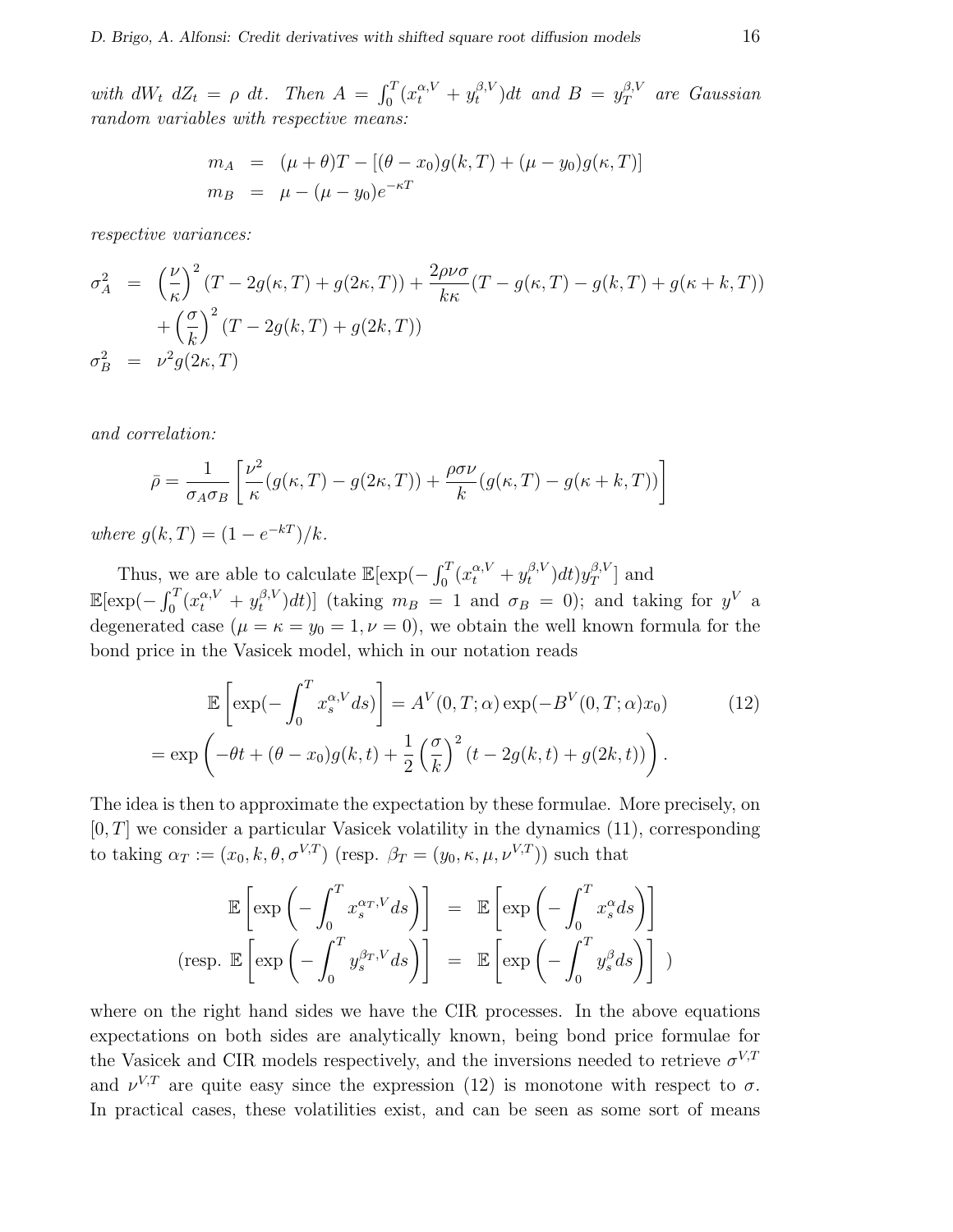with  $dW_t$   $dZ_t = \rho dt$ . Then  $A =$  $r^T$  $\int_0^T (x_t^{\alpha,V} + y_t^{\beta,V})$  $y_t^{\beta,V}$ )dt and  $B = y_T^{\beta,V}$  $T$ <sup>B,V</sup> are Gaussian random variables with respective means:

$$
m_A = (\mu + \theta)T - [(\theta - x_0)g(k, T) + (\mu - y_0)g(\kappa, T)]
$$
  
\n
$$
m_B = \mu - (\mu - y_0)e^{-\kappa T}
$$

respective variances:

$$
\sigma_A^2 = \left(\frac{\nu}{\kappa}\right)^2 (T - 2g(\kappa, T) + g(2\kappa, T)) + \frac{2\rho\nu\sigma}{k\kappa} (T - g(\kappa, T) - g(k, T) + g(\kappa + k, T)) \n+ \left(\frac{\sigma}{k}\right)^2 (T - 2g(k, T) + g(2k, T)) \n\sigma_B^2 = \nu^2 g(2\kappa, T)
$$

and correlation:

$$
\bar{\rho} = \frac{1}{\sigma_A \sigma_B} \left[ \frac{\nu^2}{\kappa} (g(\kappa, T) - g(2\kappa, T)) + \frac{\rho \sigma \nu}{k} (g(\kappa, T) - g(\kappa + k, T)) \right]
$$

where  $g(k,T) = (1 - e^{-kT})/k$ .

Thus, we are able to calculate  $\mathbb{E}[\exp(-\int_0^T$  $\int_0^T (x_t^{\alpha,V} + y_t^{\beta,V})$  $_{t}^{\beta,V})dt) y_{T}^{\beta,V}$  $T^{(\beta,V)}$  and  $\mathbb{E}[\exp(-\int_0^T$  $\int_0^T(x_t^{\alpha,V}+y_t^{\beta,V})$  $(t_t^{(\beta,V)}dt)$  (taking  $m_B = 1$  and  $\sigma_B = 0$ ); and taking for  $y^V$  a degenerated case  $(\mu = \kappa = y_0 = 1, \nu = 0)$ , we obtain the well known formula for the bond price in the Vasicek model, which in our notation reads

$$
\mathbb{E}\left[\exp(-\int_0^T x_s^{\alpha,V} ds)\right] = A^V(0,T;\alpha)\exp(-B^V(0,T;\alpha)x_0)
$$
(12)  
= 
$$
\exp\left(-\theta t + (\theta - x_0)g(k,t) + \frac{1}{2}\left(\frac{\sigma}{k}\right)^2(t - 2g(k,t) + g(2k,t))\right).
$$

The idea is then to approximate the expectation by these formulae. More precisely, on  $[0, T]$  we consider a particular Vasicek volatility in the dynamics  $(11)$ , corresponding to taking  $\alpha_T := (x_0, k, \theta, \sigma^{V,T})$  (resp.  $\beta_T = (y_0, \kappa, \mu, \nu^{V,T})$ ) such that

$$
\mathbb{E}\left[\exp\left(-\int_0^T x_s^{\alpha_T, V} ds\right)\right] = \mathbb{E}\left[\exp\left(-\int_0^T x_s^{\alpha} ds\right)\right]
$$
  
(resp.  $\mathbb{E}\left[\exp\left(-\int_0^T y_s^{\beta_T, V} ds\right)\right] = \mathbb{E}\left[\exp\left(-\int_0^T y_s^{\beta} ds\right)\right]$ )

where on the right hand sides we have the CIR processes. In the above equations expectations on both sides are analytically known, being bond price formulae for the Vasicek and CIR models respectively, and the inversions needed to retrieve  $\sigma^{V,T}$ and  $\nu^{V,T}$  are quite easy since the expression (12) is monotone with respect to  $\sigma$ . In practical cases, these volatilities exist, and can be seen as some sort of means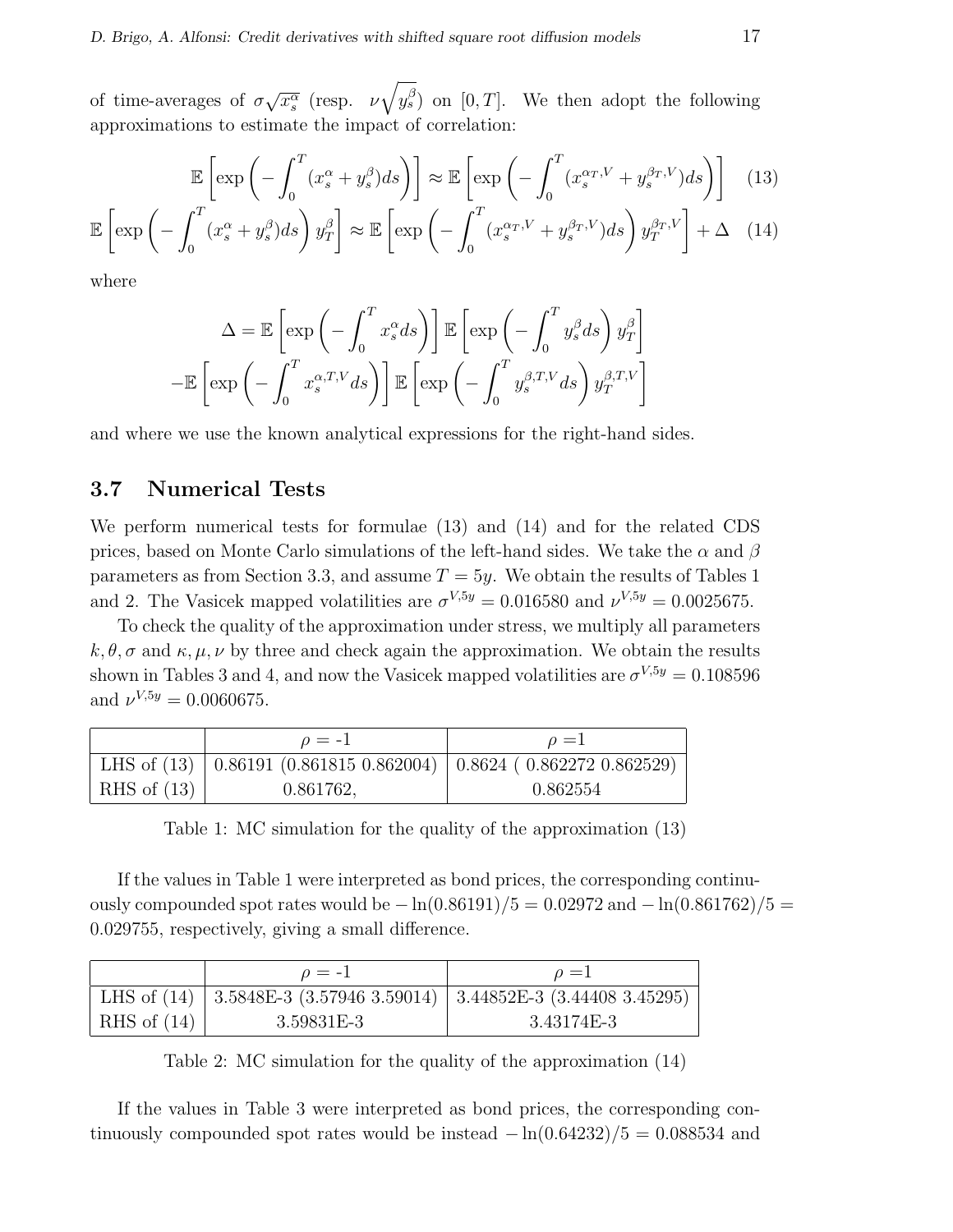of time-averages of  $\sigma$ √  $\overline{x_s^{\alpha}}$  (resp.  $\nu$  $\mathcal{L}$  $y_s^{\beta}$  on [0, T]. We then adopt the following approximations to estimate the impact of correlation:

$$
\mathbb{E}\left[\exp\left(-\int_0^T (x_s^\alpha + y_s^\beta)ds\right)\right] \approx \mathbb{E}\left[\exp\left(-\int_0^T (x_s^{\alpha_T,V} + y_s^{\beta_T,V})ds\right)\right]
$$
(13)

$$
\mathbb{E}\left[\exp\left(-\int_0^T (x_s^\alpha + y_s^\beta)ds\right)y_T^\beta\right] \approx \mathbb{E}\left[\exp\left(-\int_0^T (x_s^{\alpha_T,V} + y_s^{\beta_T,V})ds\right)y_T^{\beta_T,V}\right] + \Delta \quad (14)
$$

where

$$
\Delta = \mathbb{E}\left[\exp\left(-\int_0^T x_s^\alpha ds\right)\right] \mathbb{E}\left[\exp\left(-\int_0^T y_s^\beta ds\right)y_T^\beta\right]
$$

$$
-\mathbb{E}\left[\exp\left(-\int_0^T x_s^{\alpha,T,V} ds\right)\right] \mathbb{E}\left[\exp\left(-\int_0^T y_s^{\beta,T,V} ds\right)y_T^{\beta,T,V}\right]
$$

and where we use the known analytical expressions for the right-hand sides.

#### 3.7 Numerical Tests

We perform numerical tests for formulae (13) and (14) and for the related CDS prices, based on Monte Carlo simulations of the left-hand sides. We take the  $\alpha$  and  $\beta$ parameters as from Section 3.3, and assume  $T = 5y$ . We obtain the results of Tables 1 and 2. The Vasicek mapped volatilities are  $\sigma^{V,5y} = 0.016580$  and  $\nu^{V,5y} = 0.0025675$ .

To check the quality of the approximation under stress, we multiply all parameters  $k, \theta, \sigma$  and  $\kappa, \mu, \nu$  by three and check again the approximation. We obtain the results shown in Tables 3 and 4, and now the Vasicek mapped volatilities are  $\sigma^{V,5y} = 0.108596$ and  $\nu^{V,5y} = 0.0060675$ .

|               | $\rho = -1$                                                            | $\rho = 1$ |
|---------------|------------------------------------------------------------------------|------------|
|               | LHS of (13)   0.86191 (0.861815 0.862004)   0.8624 (0.862272 0.862529) |            |
| RHS of $(13)$ | 0.861762,                                                              | 0.862554   |

Table 1: MC simulation for the quality of the approximation (13)

If the values in Table 1 were interpreted as bond prices, the corresponding continuously compounded spot rates would be  $-\ln(0.86191)/5 = 0.02972$  and  $-\ln(0.861762)/5 =$ 0.029755, respectively, giving a small difference.

|               | $\rho = -1$ | $\rho = 1$                                                                         |
|---------------|-------------|------------------------------------------------------------------------------------|
|               |             | LHS of $(14)$   3.5848E-3 $(3.57946 \ 3.59014)$   3.44852E-3 $(3.44408 \ 3.45295)$ |
| RHS of $(14)$ | 3.59831E-3  | 3.43174E-3                                                                         |

Table 2: MC simulation for the quality of the approximation (14)

If the values in Table 3 were interpreted as bond prices, the corresponding continuously compounded spot rates would be instead  $-\ln(0.64232)/5 = 0.088534$  and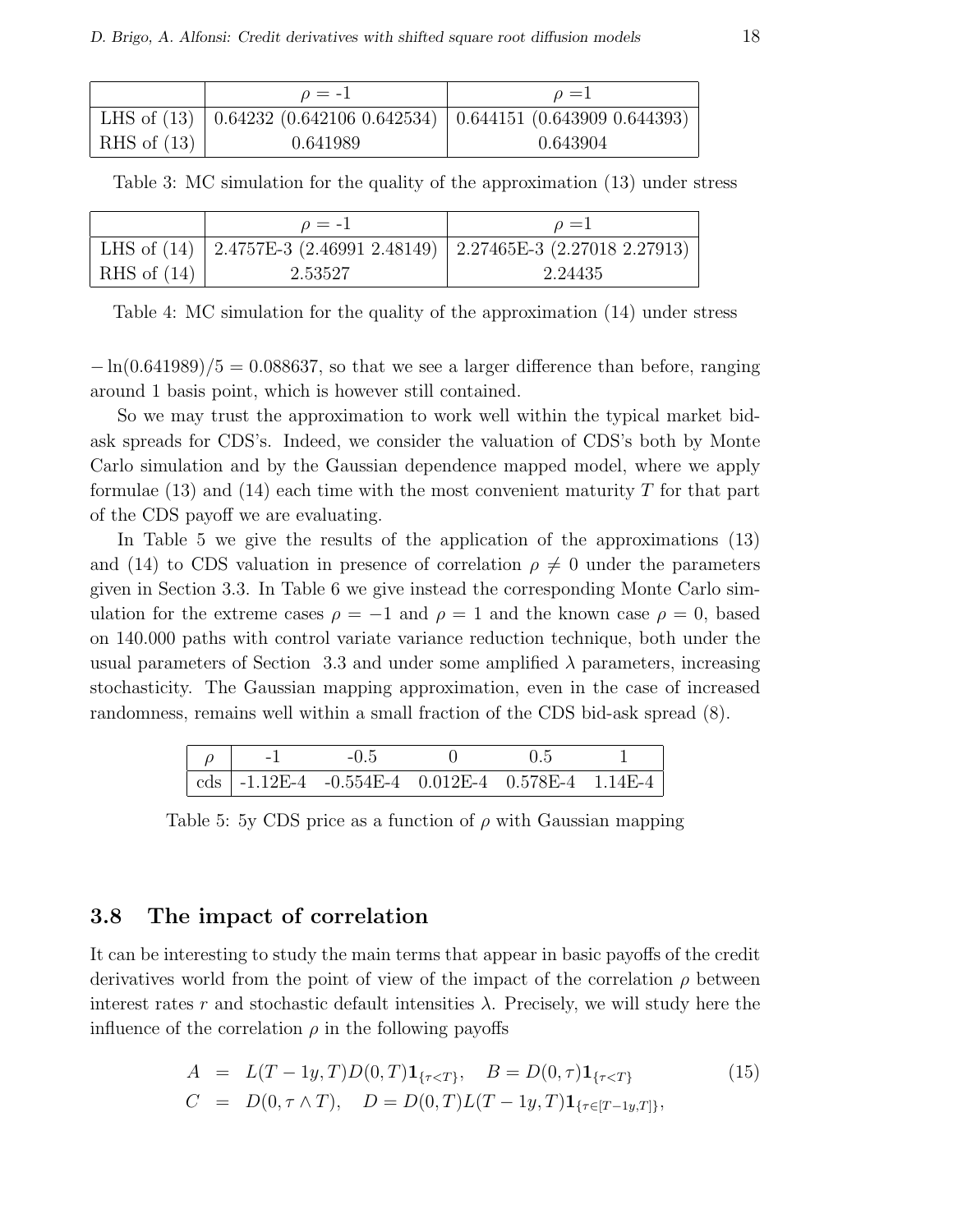|               | $\rho = -1$ | $\rho = 1$                                                                     |
|---------------|-------------|--------------------------------------------------------------------------------|
|               |             | LHS of $(13)$   0.64232 $(0.642106 0.642534)$   0.644151 $(0.643909 0.644393)$ |
| RHS of $(13)$ | 0.641989    | 0.643904                                                                       |

Table 3: MC simulation for the quality of the approximation (13) under stress

|               | $\rho = -1$ | $\rho = 1$                                                               |
|---------------|-------------|--------------------------------------------------------------------------|
|               |             | LHS of (14)   2.4757E-3 (2.46991 2.48149)   2.27465E-3 (2.27018 2.27913) |
| RHS of $(14)$ | 2.53527     | 2.24435                                                                  |

Table 4: MC simulation for the quality of the approximation (14) under stress

 $-\ln(0.641989)/5 = 0.088637$ , so that we see a larger difference than before, ranging around 1 basis point, which is however still contained.

So we may trust the approximation to work well within the typical market bidask spreads for CDS's. Indeed, we consider the valuation of CDS's both by Monte Carlo simulation and by the Gaussian dependence mapped model, where we apply formulae  $(13)$  and  $(14)$  each time with the most convenient maturity T for that part of the CDS payoff we are evaluating.

In Table 5 we give the results of the application of the approximations (13) and (14) to CDS valuation in presence of correlation  $\rho \neq 0$  under the parameters given in Section 3.3. In Table 6 we give instead the corresponding Monte Carlo simulation for the extreme cases  $\rho = -1$  and  $\rho = 1$  and the known case  $\rho = 0$ , based on 140.000 paths with control variate variance reduction technique, both under the usual parameters of Section 3.3 and under some amplified  $\lambda$  parameters, increasing stochasticity. The Gaussian mapping approximation, even in the case of increased randomness, remains well within a small fraction of the CDS bid-ask spread (8).

| $\sim$ $\sim$ $\sim$ $\sim$ $\sim$ |                                                                       |  |  |
|------------------------------------|-----------------------------------------------------------------------|--|--|
|                                    | $\vert \text{cds} \vert$ -1.12E-4 -0.554E-4 0.012E-4 0.578E-4 1.14E-4 |  |  |

Table 5: 5y CDS price as a function of  $\rho$  with Gaussian mapping

#### 3.8 The impact of correlation

It can be interesting to study the main terms that appear in basic payoffs of the credit derivatives world from the point of view of the impact of the correlation  $\rho$  between interest rates r and stochastic default intensities  $\lambda$ . Precisely, we will study here the influence of the correlation  $\rho$  in the following payoffs

$$
A = L(T - 1y, T)D(0, T)\mathbf{1}_{\{\tau < T\}}, \quad B = D(0, \tau)\mathbf{1}_{\{\tau < T\}} \tag{15}
$$
\n
$$
C = D(0, \tau \wedge T), \quad D = D(0, T)L(T - 1y, T)\mathbf{1}_{\{\tau \in [T - 1y, T]\}},
$$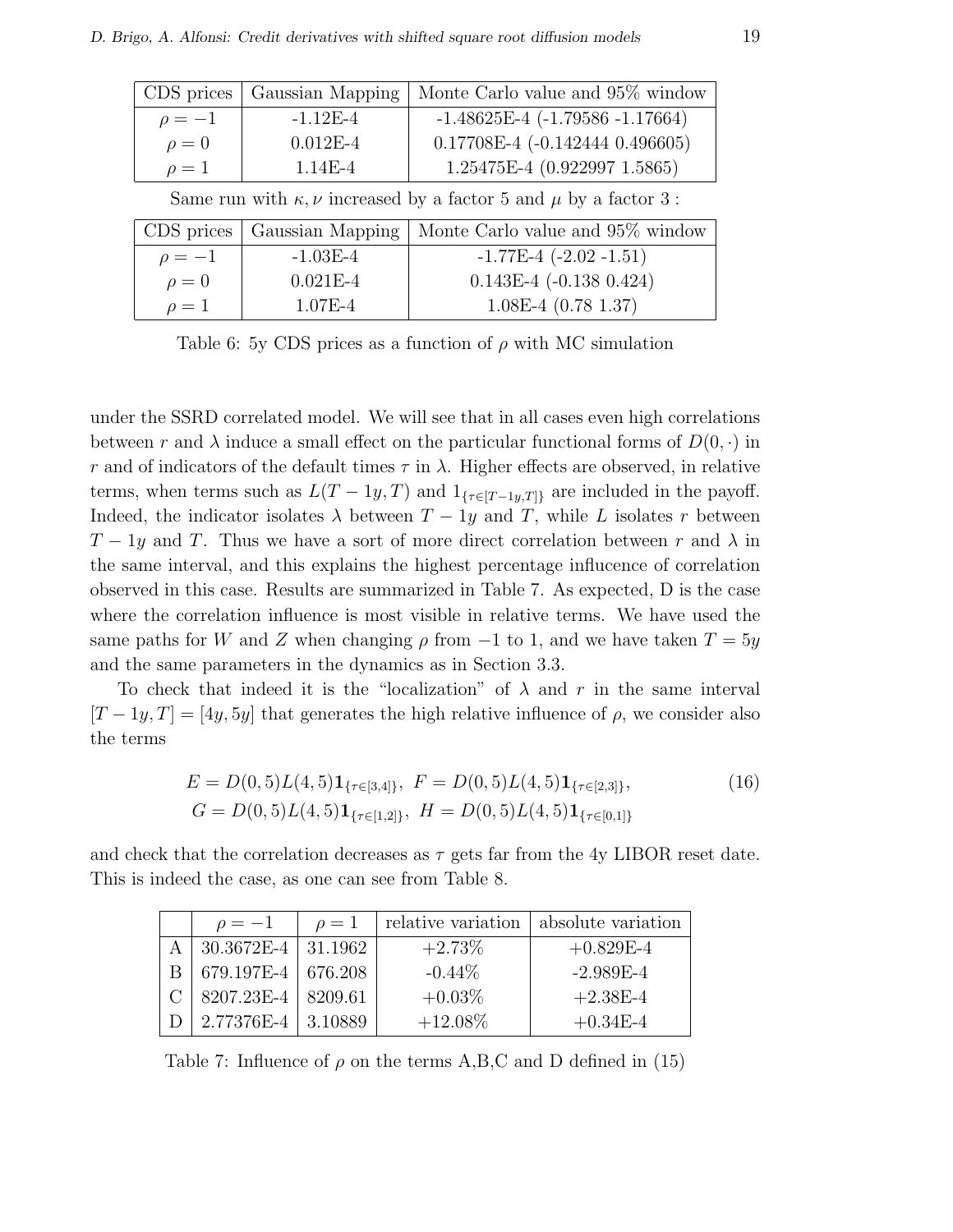| $-1.48625E-4$ $(-1.79586 -1.17664)$<br>$-1.12F-4$<br>$\rho=-1$<br>$0.17708E-4$ ( $-0.142444$ 0.496605)<br>$0.012E - 4$<br>$\rho = 0$<br>1.25475E-4 (0.922997 1.5865)<br>$1.14E - 4$<br>$\rho=1$ | CDS prices   Gaussian Mapping | Monte Carlo value and 95% window |
|-------------------------------------------------------------------------------------------------------------------------------------------------------------------------------------------------|-------------------------------|----------------------------------|
|                                                                                                                                                                                                 |                               |                                  |
|                                                                                                                                                                                                 |                               |                                  |
|                                                                                                                                                                                                 |                               |                                  |

Same run with  $\kappa, \nu$  increased by a factor 5 and  $\mu$  by a factor 3:

|            | CDS prices   Gaussian Mapping | Monte Carlo value and 95% window |
|------------|-------------------------------|----------------------------------|
| $\rho=-1$  | $-1.03E-4$                    | $-1.77E-4$ $(-2.02 -1.51)$       |
| $\rho = 0$ | $0.021E-4$                    | $0.143E-4$ ( $-0.138$ 0.424)     |
| $\rho=1$   | $1.07E - 4$                   | $1.08E-4$ (0.78 1.37)            |

Table 6: 5y CDS prices as a function of  $\rho$  with MC simulation

under the SSRD correlated model. We will see that in all cases even high correlations between r and  $\lambda$  induce a small effect on the particular functional forms of  $D(0, \cdot)$  in r and of indicators of the default times  $\tau$  in  $\lambda$ . Higher effects are observed, in relative terms, when terms such as  $L(T - 1y, T)$  and  $1_{\{\tau \in [T-1y,T]\}}$  are included in the payoff. Indeed, the indicator isolates  $\lambda$  between  $T - 1y$  and T, while L isolates r between  $T-1y$  and T. Thus we have a sort of more direct correlation between r and  $\lambda$  in the same interval, and this explains the highest percentage influcence of correlation observed in this case. Results are summarized in Table 7. As expected, D is the case where the correlation influence is most visible in relative terms. We have used the same paths for W and Z when changing  $\rho$  from  $-1$  to 1, and we have taken  $T = 5y$ and the same parameters in the dynamics as in Section 3.3.

To check that indeed it is the "localization" of  $\lambda$  and r in the same interval  $[T-1y, T] = [4y, 5y]$  that generates the high relative influence of  $\rho$ , we consider also the terms

$$
E = D(0,5)L(4,5)1_{\{\tau \in [3,4]\}}, \ F = D(0,5)L(4,5)1_{\{\tau \in [2,3]\}}, \tag{16}
$$

$$
G = D(0,5)L(4,5)1_{\{\tau \in [1,2]\}}, \ H = D(0,5)L(4,5)1_{\{\tau \in [0,1]\}}
$$

and check that the correlation decreases as  $\tau$  gets far from the 4y LIBOR reset date. This is indeed the case, as one can see from Table 8.

| $\rho=-1$              | $\rho=1$ | relative variation | absolute variation |
|------------------------|----------|--------------------|--------------------|
| $30.3672E-4$   31.1962 |          | $+2.73%$           | $+0.829E-4$        |
| 679.197E-4   676.208   |          | $-0.44\%$          | $-2.989E-4$        |
| 8207.23E-4   8209.61   |          | $+0.03\%$          | $+2.38E-4$         |
| 2.77376E-4 3.10889     |          | $+12.08\%$         | $+0.34E-4$         |

Table 7: Influence of  $\rho$  on the terms A,B,C and D defined in (15)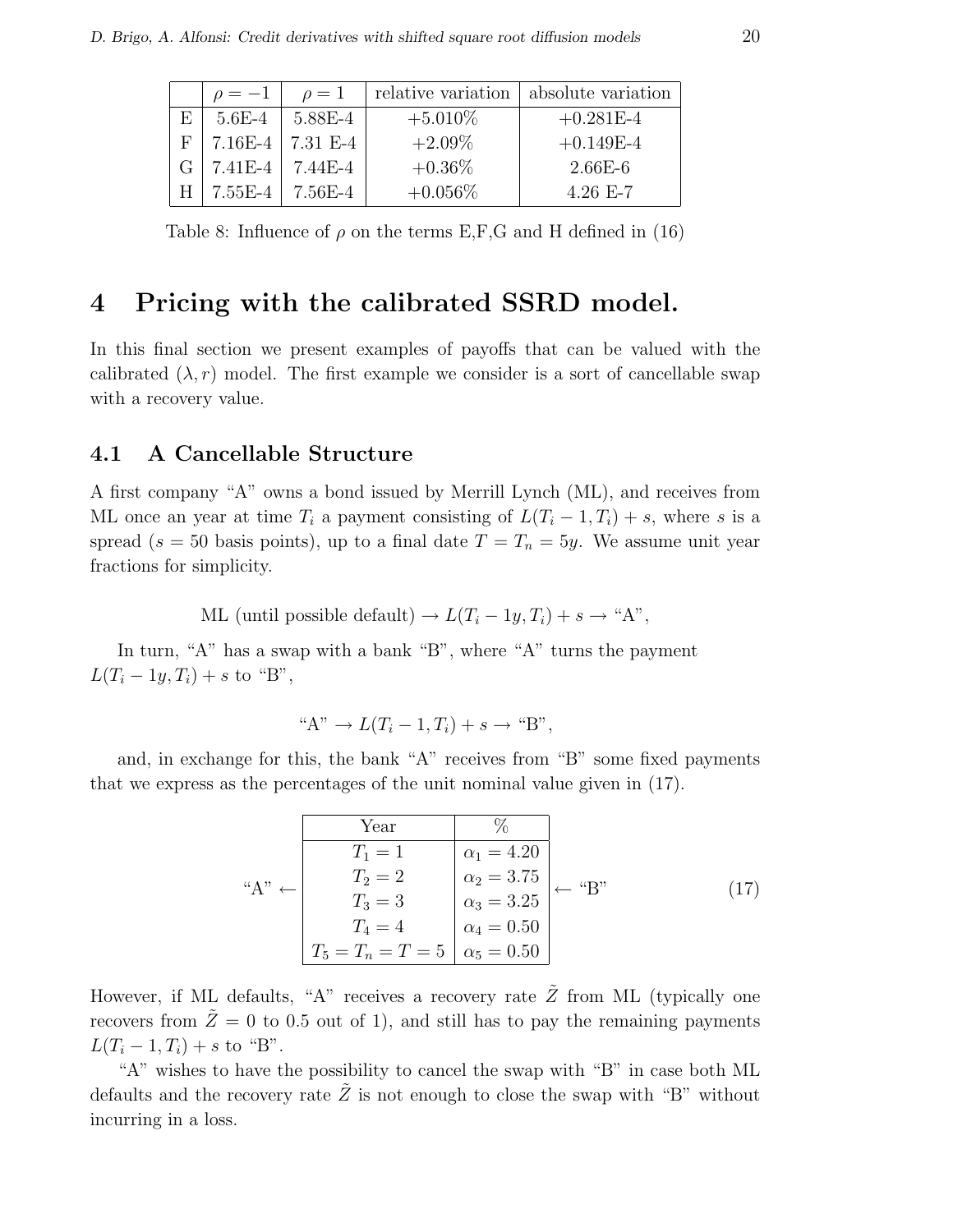|    | $\rho=-1$     | $\rho=1$              |            | relative variation   absolute variation |
|----|---------------|-----------------------|------------|-----------------------------------------|
| ΕH | $5.6E-4$      | 5.88E-4               | $+5.010\%$ | $+0.281E-4$                             |
|    | $F$   7.16E-4 | 7.31 E-4              | $+2.09\%$  | $+0.149E-4$                             |
|    | 7.41E-4       | 7.44E-4               | $+0.36\%$  | $2.66E-6$                               |
|    |               | $7.55E-4$   $7.56E-4$ | $+0.056\%$ | $4.26$ E-7                              |

Table 8: Influence of  $\rho$  on the terms E,F,G and H defined in (16)

### 4 Pricing with the calibrated SSRD model.

In this final section we present examples of payoffs that can be valued with the calibrated  $(\lambda, r)$  model. The first example we consider is a sort of cancellable swap with a recovery value.

### 4.1 A Cancellable Structure

A first company "A" owns a bond issued by Merrill Lynch (ML), and receives from ML once an year at time  $T_i$  a payment consisting of  $L(T_i - 1, T_i) + s$ , where s is a spread (s = 50 basis points), up to a final date  $T = T_n = 5y$ . We assume unit year fractions for simplicity.

ML (until possible default)  $\rightarrow L(T_i - 1y, T_i) + s \rightarrow "A",$ 

In turn, "A" has a swap with a bank "B", where "A" turns the payment  $L(T_i - 1y, T_i) + s$  to "B",

$$
"A" \to L(T_i - 1, T_i) + s \to "B",
$$

and, in exchange for this, the bank "A" receives from "B" some fixed payments that we express as the percentages of the unit nominal value given in (17).

|                   | Year                |                             |                  |  |
|-------------------|---------------------|-----------------------------|------------------|--|
|                   | $T_1 = 1$           | $\alpha_1 = 4.20$           |                  |  |
| $``A" \leftarrow$ | $T_2 = 2$           | $^+$ $\alpha_2 = 3.75$ $_+$ | $\leftarrow$ "B" |  |
|                   | $T_3 = 3$           | $\alpha_3 = 3.25$           |                  |  |
|                   | $T_4=4$             | $\alpha_4 = 0.50$           |                  |  |
|                   | $T_5 = T_n = T = 5$ | $\alpha_5=0.50$             |                  |  |

However, if ML defaults, "A" receives a recovery rate  $\tilde{Z}$  from ML (typically one recovers from  $\tilde{Z} = 0$  to 0.5 out of 1), and still has to pay the remaining payments  $L(T_i - 1, T_i) + s$  to "B".

"A" wishes to have the possibility to cancel the swap with "B" in case both ML defaults and the recovery rate  $\tilde{Z}$  is not enough to close the swap with "B" without incurring in a loss.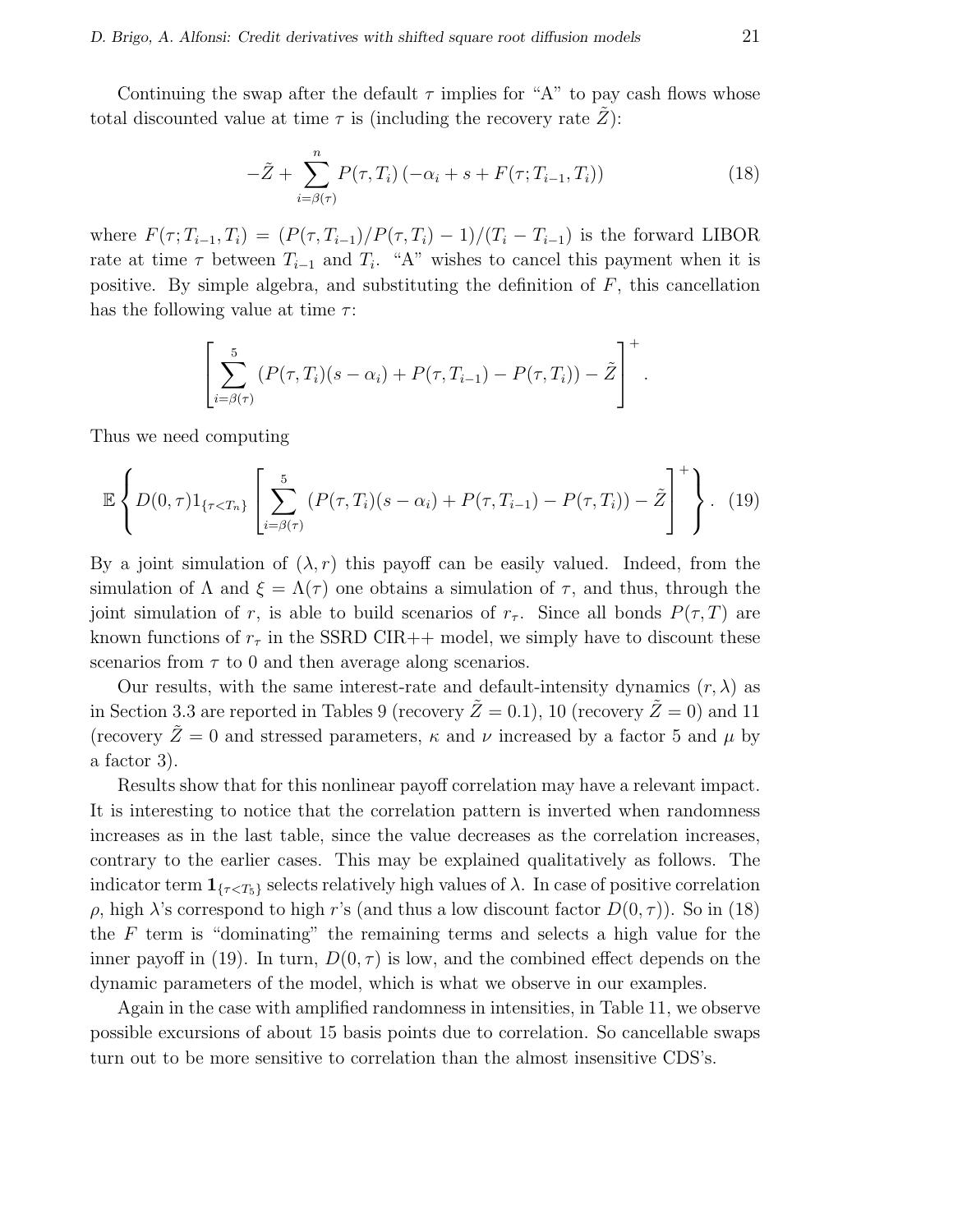Continuing the swap after the default  $\tau$  implies for "A" to pay cash flows whose total discounted value at time  $\tau$  is (including the recovery rate Z):

$$
-\tilde{Z} + \sum_{i=\beta(\tau)}^{n} P(\tau, T_i) \left( -\alpha_i + s + F(\tau; T_{i-1}, T_i) \right) \tag{18}
$$

where  $F(\tau; T_{i-1}, T_i) = (P(\tau, T_{i-1})/P(\tau, T_i) - 1)/(T_i - T_{i-1})$  is the forward LIBOR rate at time  $\tau$  between  $T_{i-1}$  and  $T_i$ . "A" wishes to cancel this payment when it is positive. By simple algebra, and substituting the definition of  $F$ , this cancellation has the following value at time  $\tau$ :

$$
\left[\sum_{i=\beta(\tau)}^{5} (P(\tau,T_i)(s-\alpha_i)+P(\tau,T_{i-1})-P(\tau,T_i))-\tilde{Z}\right]^{+}.
$$

Thus we need computing

$$
\mathbb{E}\left\{D(0,\tau)1_{\{\tau (19)
$$

By a joint simulation of  $(\lambda, r)$  this payoff can be easily valued. Indeed, from the simulation of  $\Lambda$  and  $\xi = \Lambda(\tau)$  one obtains a simulation of  $\tau$ , and thus, through the joint simulation of r, is able to build scenarios of  $r_{\tau}$ . Since all bonds  $P(\tau, T)$  are known functions of  $r<sub>\tau</sub>$  in the SSRD CIR++ model, we simply have to discount these scenarios from  $\tau$  to 0 and then average along scenarios.

Our results, with the same interest-rate and default-intensity dynamics  $(r, \lambda)$  as in Section 3.3 are reported in Tables 9 (recovery  $\tilde{Z}=0.1$ ), 10 (recovery  $\tilde{Z}=0$ ) and 11 (recovery  $\tilde{Z}=0$  and stressed parameters,  $\kappa$  and  $\nu$  increased by a factor 5 and  $\mu$  by a factor 3).

Results show that for this nonlinear payoff correlation may have a relevant impact. It is interesting to notice that the correlation pattern is inverted when randomness increases as in the last table, since the value decreases as the correlation increases, contrary to the earlier cases. This may be explained qualitatively as follows. The indicator term  $\mathbf{1}_{\{\tau \leq T_5\}}$  selects relatively high values of  $\lambda$ . In case of positive correlation ρ, high λ's correspond to high r's (and thus a low discount factor  $D(0, τ)$ ). So in (18) the  $F$  term is "dominating" the remaining terms and selects a high value for the inner payoff in (19). In turn,  $D(0, \tau)$  is low, and the combined effect depends on the dynamic parameters of the model, which is what we observe in our examples.

Again in the case with amplified randomness in intensities, in Table 11, we observe possible excursions of about 15 basis points due to correlation. So cancellable swaps turn out to be more sensitive to correlation than the almost insensitive CDS's.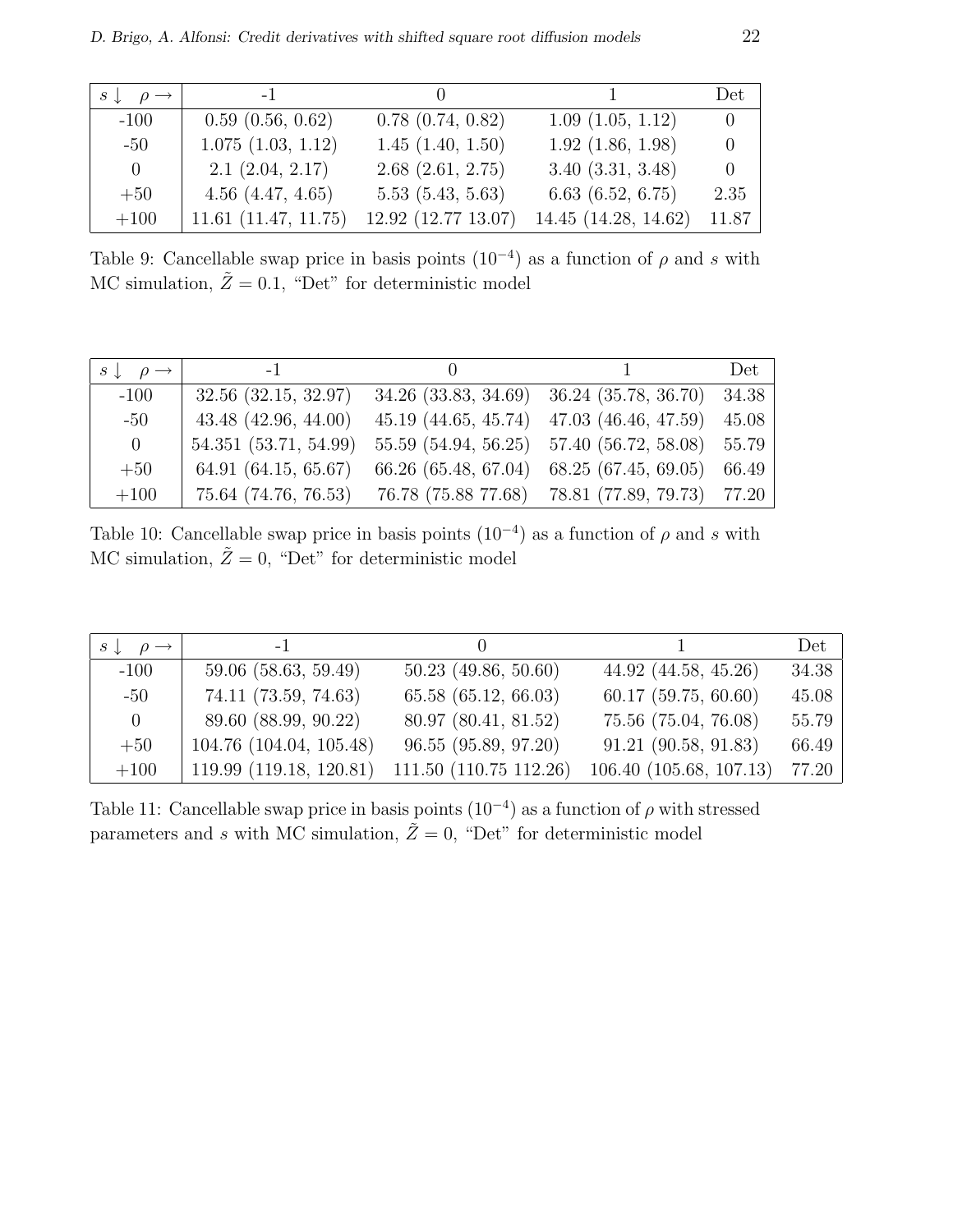| $s \downarrow \rho \rightarrow$ | $-1$                     |                       |                      | Det            |
|---------------------------------|--------------------------|-----------------------|----------------------|----------------|
| $-100$                          | 0.59(0.56, 0.62)         | $0.78$ $(0.74, 0.82)$ | 1.09(1.05, 1.12)     | $\overline{0}$ |
| $-50$                           | 1.075(1.03, 1.12)        | $1.45$ $(1.40, 1.50)$ | 1.92(1.86, 1.98)     | $\theta$       |
| $\vert 0 \vert$                 | 2.1(2.04, 2.17)          | 2.68(2.61, 2.75)      | 3.40(3.31, 3.48)     | $\theta$       |
| $+50$                           | 4.56(4.47, 4.65)         | 5.53(5.43, 5.63)      | 6.63(6.52, 6.75)     | 2.35           |
| $+100$                          | $11.61$ $(11.47, 11.75)$ | 12.92 (12.77 13.07)   | 14.45 (14.28, 14.62) | 11.87          |

Table 9: Cancellable swap price in basis points  $(10^{-4})$  as a function of  $\rho$  and s with MC simulation,  $\tilde{Z} = 0.1$ , "Det" for deterministic model

| $s \downarrow \rho \rightarrow$ | $-1$                     |                                                   | Det   |
|---------------------------------|--------------------------|---------------------------------------------------|-------|
| $-100$                          | $32.56$ $(32.15, 32.97)$ | 34.26 (33.83, 34.69) 36.24 (35.78, 36.70) 34.38   |       |
| $-50$                           | $43.48$ $(42.96, 44.00)$ | $45.19$ $(44.65, 45.74)$ $47.03$ $(46.46, 47.59)$ | 45.08 |
| $\overline{0}$                  | 54.351 (53.71, 54.99)    | 55.59 (54.94, 56.25) 57.40 (56.72, 58.08) 55.79   |       |
| $+50$                           | 64.91(64.15, 65.67)      | 66.26 (65.48, 67.04) 68.25 (67.45, 69.05)         | 66.49 |
| $+100$                          | 75.64 (74.76, 76.53)     | 76.78 (75.88 77.68) 78.81 (77.89, 79.73) 77.20    |       |

Table 10: Cancellable swap price in basis points  $(10^{-4})$  as a function of  $\rho$  and s with MC simulation,  $\tilde{Z} = 0$ , "Det" for deterministic model

| $s \downarrow \rho \rightarrow$ | $-1$                    |                        |                          | Det   |
|---------------------------------|-------------------------|------------------------|--------------------------|-------|
| $-100$                          | 59.06 (58.63, 59.49)    | $50.23$ (49.86, 50.60) | 44.92 (44.58, 45.26)     | 34.38 |
| $-50$                           | 74.11 (73.59, 74.63)    | 65.58 (65.12, 66.03)   | $60.17$ $(59.75, 60.60)$ | 45.08 |
| $\overline{0}$                  | 89.60 (88.99, 90.22)    | 80.97 (80.41, 81.52)   | 75.56 (75.04, 76.08)     | 55.79 |
| $+50$                           | 104.76 (104.04, 105.48) | 96.55 (95.89, 97.20)   | 91.21 (90.58, 91.83)     | 66.49 |
| $+100$                          | 119.99 (119.18, 120.81) | 111.50 (110.75 112.26) | 106.40 (105.68, 107.13)  | 77.20 |

Table 11: Cancellable swap price in basis points  $(10^{-4})$  as a function of  $\rho$  with stressed parameters and s with MC simulation,  $\tilde{Z} = 0$ , "Det" for deterministic model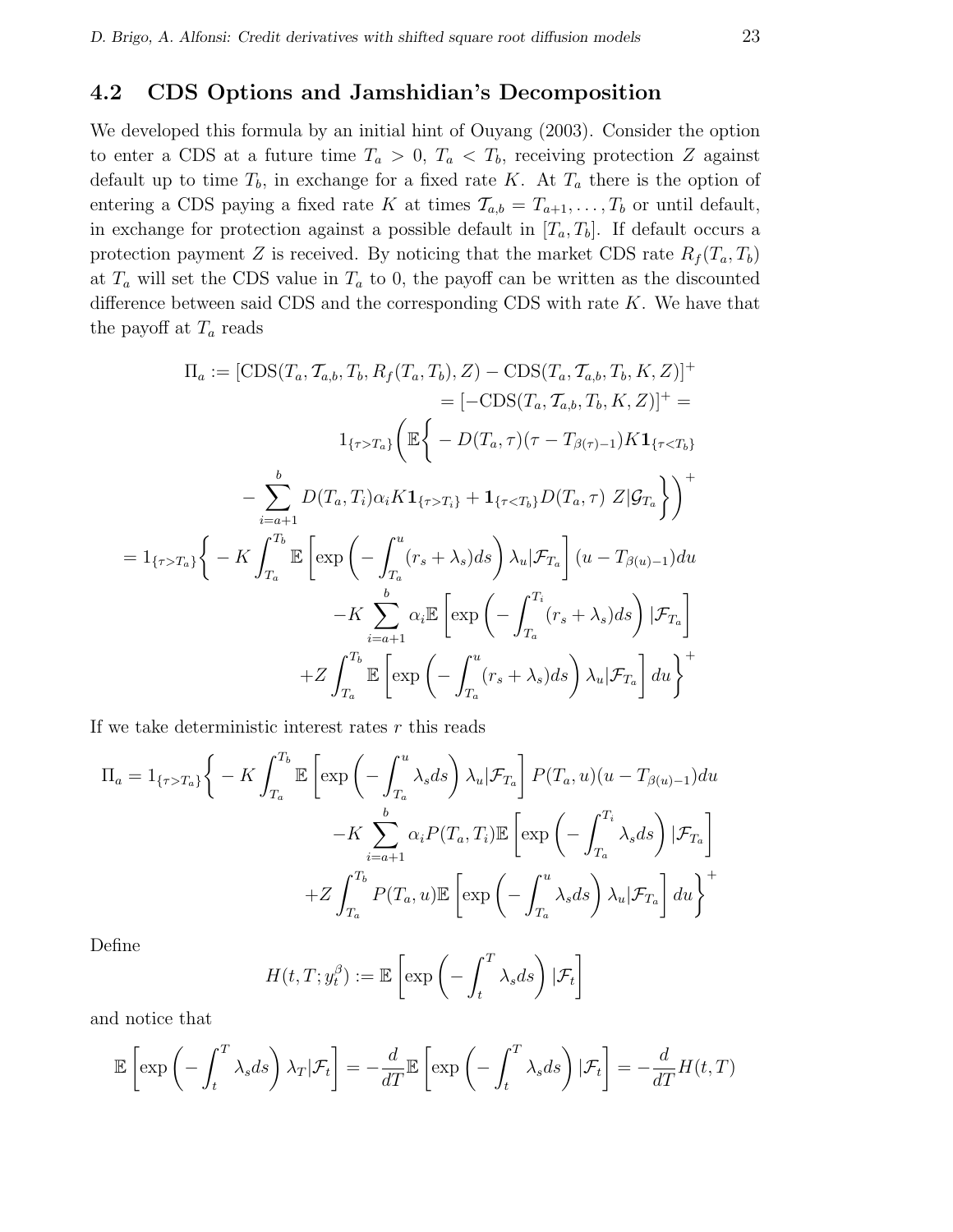#### 4.2 CDS Options and Jamshidian's Decomposition

We developed this formula by an initial hint of Ouyang (2003). Consider the option to enter a CDS at a future time  $T_a > 0$ ,  $T_a < T_b$ , receiving protection Z against default up to time  $T_b$ , in exchange for a fixed rate K. At  $T_a$  there is the option of entering a CDS paying a fixed rate K at times  $\mathcal{T}_{a,b} = T_{a+1}, \ldots, T_b$  or until default, in exchange for protection against a possible default in  $[T_a, T_b]$ . If default occurs a protection payment Z is received. By noticing that the market CDS rate  $R_f(T_a, T_b)$ at  $T_a$  will set the CDS value in  $T_a$  to 0, the payoff can be written as the discounted difference between said CDS and the corresponding CDS with rate  $K$ . We have that the payoff at  $T_a$  reads

$$
\Pi_a := [\text{CDS}(T_a, T_{a,b}, T_b, R_f(T_a, T_b), Z) - \text{CDS}(T_a, T_{a,b}, T_b, K, Z)]^+ \n= [-\text{CDS}(T_a, T_{a,b}, T_b, K, Z)]^+ \n= [-\text{CDS}(T_a, T_{a,b}, T_b, K, Z)]^+ \n- \sum_{i=a+1}^b D(T_a, T_i) \alpha_i K \mathbf{1}_{\{\tau > T_i\}} + \mathbf{1}_{\{\tau < T_b\}} D(T_a, \tau) Z | \mathcal{G}_{T_a} \} )^+
$$
\n
$$
= \mathbf{1}_{\{\tau > T_a\}} \left\{ - K \int_{T_a}^{T_b} \mathbb{E} \left[ \exp \left( - \int_{T_a}^u (r_s + \lambda_s) ds \right) \lambda_u | \mathcal{F}_{T_a} \right] (u - T_{\beta(u)-1}) du - K \sum_{i=a+1}^b \alpha_i \mathbb{E} \left[ \exp \left( - \int_{T_a}^{T_i} (r_s + \lambda_s) ds \right) | \mathcal{F}_{T_a} \right] \n+ Z \int_{T_a}^{T_b} \mathbb{E} \left[ \exp \left( - \int_{T_a}^u (r_s + \lambda_s) ds \right) \lambda_u | \mathcal{F}_{T_a} \right] du \right\}^+
$$

If we take deterministic interest rates  $r$  this reads

$$
\Pi_a = 1_{\{\tau > T_a\}} \Bigg\{ -K \int_{T_a}^{T_b} \mathbb{E} \left[ \exp \left( -\int_{T_a}^u \lambda_s ds \right) \lambda_u | \mathcal{F}_{T_a} \right] P(T_a, u) (u - T_{\beta(u)-1}) du \n- K \sum_{i=a+1}^b \alpha_i P(T_a, T_i) \mathbb{E} \left[ \exp \left( -\int_{T_a}^{T_i} \lambda_s ds \right) | \mathcal{F}_{T_a} \right] \n+ Z \int_{T_a}^{T_b} P(T_a, u) \mathbb{E} \left[ \exp \left( -\int_{T_a}^u \lambda_s ds \right) \lambda_u | \mathcal{F}_{T_a} \right] du \Bigg\}^+
$$

Define

$$
H(t, T; y_t^{\beta}) := \mathbb{E}\left[\exp\left(-\int_t^T \lambda_s ds\right)|\mathcal{F}_t\right]
$$

and notice that

$$
\mathbb{E}\left[\exp\left(-\int_t^T \lambda_s ds\right)\lambda_T|\mathcal{F}_t\right] = -\frac{d}{dT}\mathbb{E}\left[\exp\left(-\int_t^T \lambda_s ds\right)|\mathcal{F}_t\right] = -\frac{d}{dT}H(t,T)
$$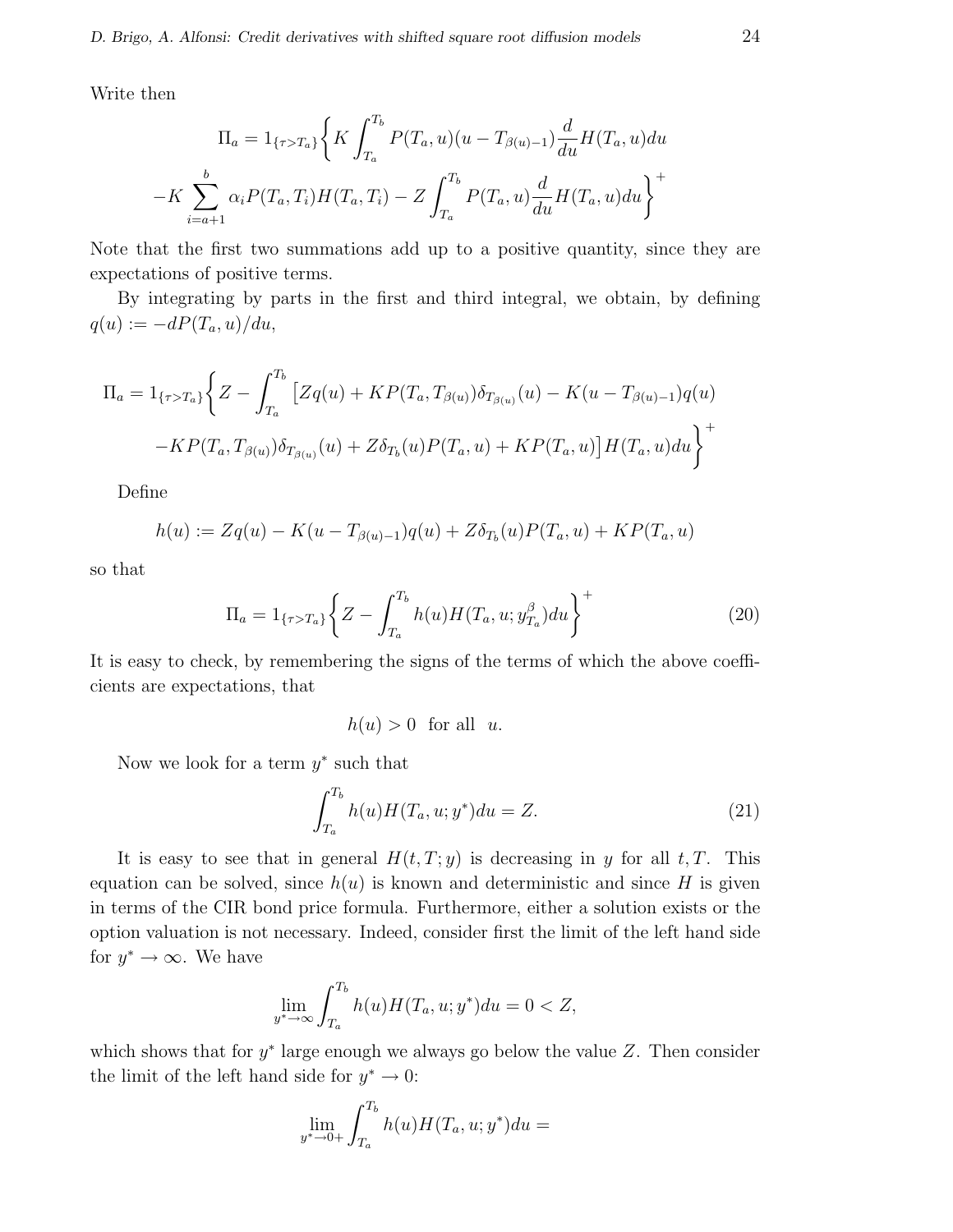Write then

$$
\Pi_a = 1_{\{\tau > T_a\}} \left\{ K \int_{T_a}^{T_b} P(T_a, u)(u - T_{\beta(u)-1}) \frac{d}{du} H(T_a, u) du - K \sum_{i=a+1}^b \alpha_i P(T_a, T_i) H(T_a, T_i) - Z \int_{T_a}^{T_b} P(T_a, u) \frac{d}{du} H(T_a, u) du \right\}^+
$$

Note that the first two summations add up to a positive quantity, since they are expectations of positive terms.

By integrating by parts in the first and third integral, we obtain, by defining  $q(u) := -dP(T_a, u)/du,$ 

$$
\Pi_a = 1_{\{\tau > T_a\}} \left\{ Z - \int_{T_a}^{T_b} \left[ Zq(u) + KP(T_a, T_{\beta(u)}) \delta_{T_{\beta(u)}}(u) - K(u - T_{\beta(u)-1})q(u) \right. \\ \left. - KP(T_a, T_{\beta(u)}) \delta_{T_{\beta(u)}}(u) + Z \delta_{T_b}(u) P(T_a, u) + KP(T_a, u) \right] H(T_a, u) du \right\}^+
$$

Define

$$
h(u) := Zq(u) - K(u - T_{\beta(u)-1})q(u) + Z\delta_{T_b}(u)P(T_a, u) + KP(T_a, u)
$$

so that

$$
\Pi_a = 1_{\{\tau > T_a\}} \left\{ Z - \int_{T_a}^{T_b} h(u) H(T_a, u; y_{T_a}^\beta) du \right\}^+ \tag{20}
$$

It is easy to check, by remembering the signs of the terms of which the above coefficients are expectations, that

h(u) > 0 for all u.

Now we look for a term  $y^*$  such that

$$
\int_{T_a}^{T_b} h(u)H(T_a, u; y^*)du = Z.
$$
 (21)

It is easy to see that in general  $H(t, T; y)$  is decreasing in y for all t, T. This equation can be solved, since  $h(u)$  is known and deterministic and since H is given in terms of the CIR bond price formula. Furthermore, either a solution exists or the option valuation is not necessary. Indeed, consider first the limit of the left hand side for  $y^* \to \infty$ . We have

$$
\lim_{y^* \to \infty} \int_{T_a}^{T_b} h(u) H(T_a, u; y^*) du = 0 < Z,
$$

which shows that for  $y^*$  large enough we always go below the value Z. Then consider the limit of the left hand side for  $y^* \to 0$ :

$$
\lim_{y^* \to 0+} \int_{T_a}^{T_b} h(u) H(T_a, u; y^*) du =
$$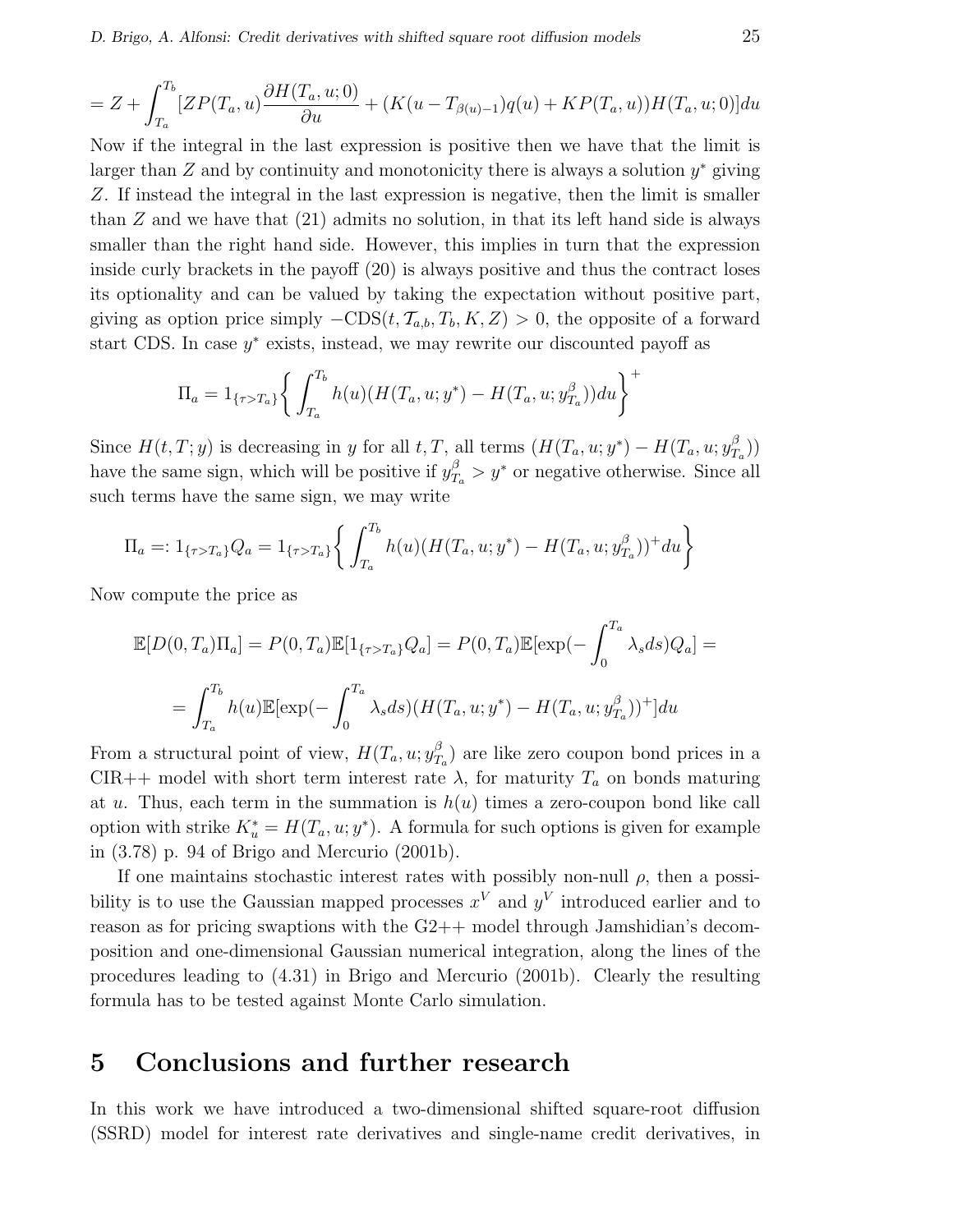$$
=Z+\int_{T_a}^{T_b}[ZP(T_a,u)\frac{\partial H(T_a,u;0)}{\partial u}+(K(u-T_{\beta(u)-1})q(u)+KP(T_a,u))H(T_a,u;0)]du
$$

Now if the integral in the last expression is positive then we have that the limit is larger than  $Z$  and by continuity and monotonicity there is always a solution  $y^*$  giving Z. If instead the integral in the last expression is negative, then the limit is smaller than  $Z$  and we have that  $(21)$  admits no solution, in that its left hand side is always smaller than the right hand side. However, this implies in turn that the expression inside curly brackets in the payoff (20) is always positive and thus the contract loses its optionality and can be valued by taking the expectation without positive part, giving as option price simply  $-CDS(t, \mathcal{T}_{a,b}, T_b, K, Z) > 0$ , the opposite of a forward start CDS. In case  $y^*$  exists, instead, we may rewrite our discounted payoff as

$$
\Pi_a = 1_{\{\tau > T_a\}} \bigg\{ \int_{T_a}^{T_b} h(u) (H(T_a, u; y^*) - H(T_a, u; y_{T_a}^\beta)) du \bigg\}^+
$$

Since  $H(t, T; y)$  is decreasing in y for all t, T, all terms  $(H(T_a, u; y^*) - H(T_a, u; y_T^{\beta}))$  $T_a^B$ )) have the same sign, which will be positive if  $y_{T_a}^{\beta} > y^*$  or negative otherwise. Since all such terms have the same sign, we may write

$$
\Pi_a =: 1_{\{\tau > T_a\}} Q_a = 1_{\{\tau > T_a\}} \left\{ \int_{T_a}^{T_b} h(u) (H(T_a, u; y^*) - H(T_a, u; y_{T_a}^\beta))^+ du \right\}
$$

Now compute the price as

$$
\mathbb{E}[D(0,T_a)\Pi_a] = P(0,T_a)\mathbb{E}[1_{\{\tau>T_a\}}Q_a] = P(0,T_a)\mathbb{E}[\exp(-\int_0^{T_a} \lambda_s ds)Q_a] =
$$
  

$$
= \int_{T_a}^{T_b} h(u)\mathbb{E}[\exp(-\int_0^{T_a} \lambda_s ds)(H(T_a, u; y^*) - H(T_a, u; y_{T_a}^\beta))^+]du
$$

From a structural point of view,  $H(T_a, u; y_T^{\beta})$  $T_a$ ) are like zero coupon bond prices in a CIR++ model with short term interest rate  $\lambda$ , for maturity  $T_a$  on bonds maturing at u. Thus, each term in the summation is  $h(u)$  times a zero-coupon bond like call option with strike  $K_u^* = H(T_a, u; y^*)$ . A formula for such options is given for example in (3.78) p. 94 of Brigo and Mercurio (2001b).

If one maintains stochastic interest rates with possibly non-null  $\rho$ , then a possibility is to use the Gaussian mapped processes  $x^V$  and  $y^V$  introduced earlier and to reason as for pricing swaptions with the G2++ model through Jamshidian's decomposition and one-dimensional Gaussian numerical integration, along the lines of the procedures leading to (4.31) in Brigo and Mercurio (2001b). Clearly the resulting formula has to be tested against Monte Carlo simulation.

### 5 Conclusions and further research

In this work we have introduced a two-dimensional shifted square-root diffusion (SSRD) model for interest rate derivatives and single-name credit derivatives, in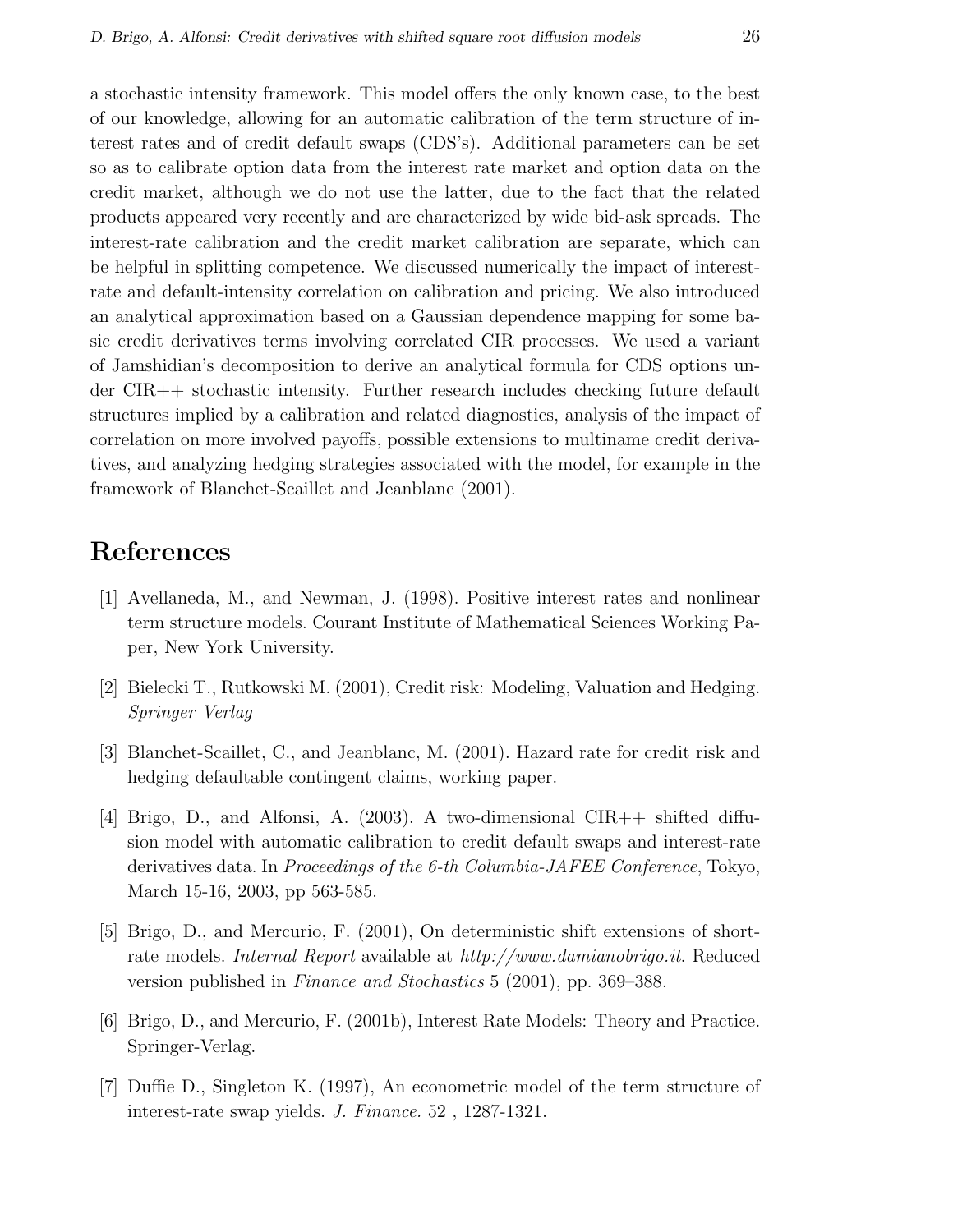a stochastic intensity framework. This model offers the only known case, to the best of our knowledge, allowing for an automatic calibration of the term structure of interest rates and of credit default swaps (CDS's). Additional parameters can be set so as to calibrate option data from the interest rate market and option data on the credit market, although we do not use the latter, due to the fact that the related products appeared very recently and are characterized by wide bid-ask spreads. The interest-rate calibration and the credit market calibration are separate, which can be helpful in splitting competence. We discussed numerically the impact of interestrate and default-intensity correlation on calibration and pricing. We also introduced an analytical approximation based on a Gaussian dependence mapping for some basic credit derivatives terms involving correlated CIR processes. We used a variant of Jamshidian's decomposition to derive an analytical formula for CDS options under CIR++ stochastic intensity. Further research includes checking future default structures implied by a calibration and related diagnostics, analysis of the impact of correlation on more involved payoffs, possible extensions to multiname credit derivatives, and analyzing hedging strategies associated with the model, for example in the framework of Blanchet-Scaillet and Jeanblanc (2001).

## References

- [1] Avellaneda, M., and Newman, J. (1998). Positive interest rates and nonlinear term structure models. Courant Institute of Mathematical Sciences Working Paper, New York University.
- [2] Bielecki T., Rutkowski M. (2001), Credit risk: Modeling, Valuation and Hedging. Springer Verlag
- [3] Blanchet-Scaillet, C., and Jeanblanc, M. (2001). Hazard rate for credit risk and hedging defaultable contingent claims, working paper.
- [4] Brigo, D., and Alfonsi, A. (2003). A two-dimensional CIR++ shifted diffusion model with automatic calibration to credit default swaps and interest-rate derivatives data. In Proceedings of the 6-th Columbia-JAFEE Conference, Tokyo, March 15-16, 2003, pp 563-585.
- [5] Brigo, D., and Mercurio, F. (2001), On deterministic shift extensions of shortrate models. Internal Report available at http://www.damianobrigo.it. Reduced version published in Finance and Stochastics 5 (2001), pp. 369–388.
- [6] Brigo, D., and Mercurio, F. (2001b), Interest Rate Models: Theory and Practice. Springer-Verlag.
- [7] Duffie D., Singleton K. (1997), An econometric model of the term structure of interest-rate swap yields. J. Finance. 52 , 1287-1321.